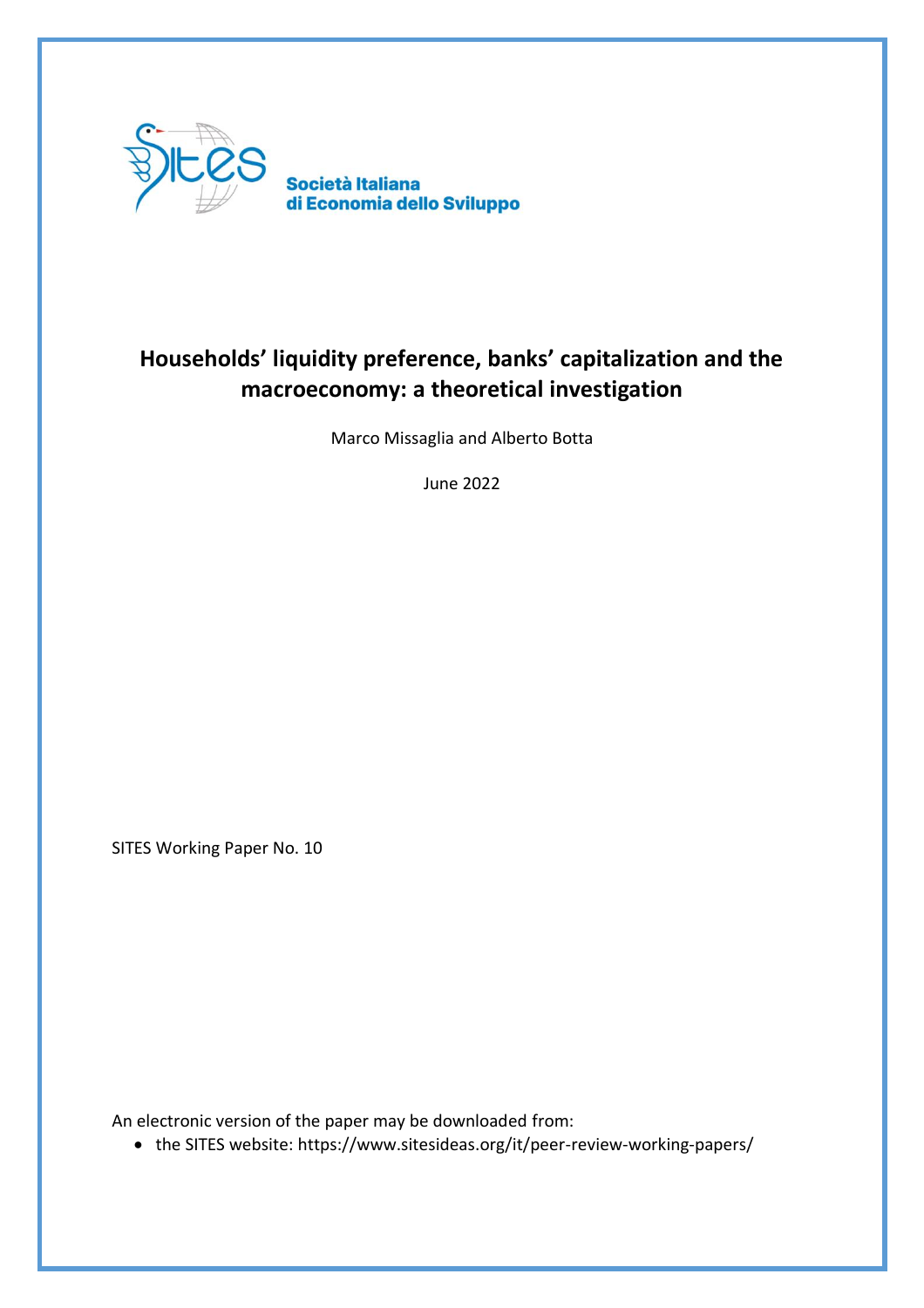

# **Households' liquidity preference, banks' capitalization and the macroeconomy: a theoretical investigation**

Marco Missaglia and Alberto Botta

June 2022

SITES Working Paper No. 10

An electronic version of the paper may be downloaded from:

• the SITES website: https://www.sitesideas.org/it/peer-review-working-papers/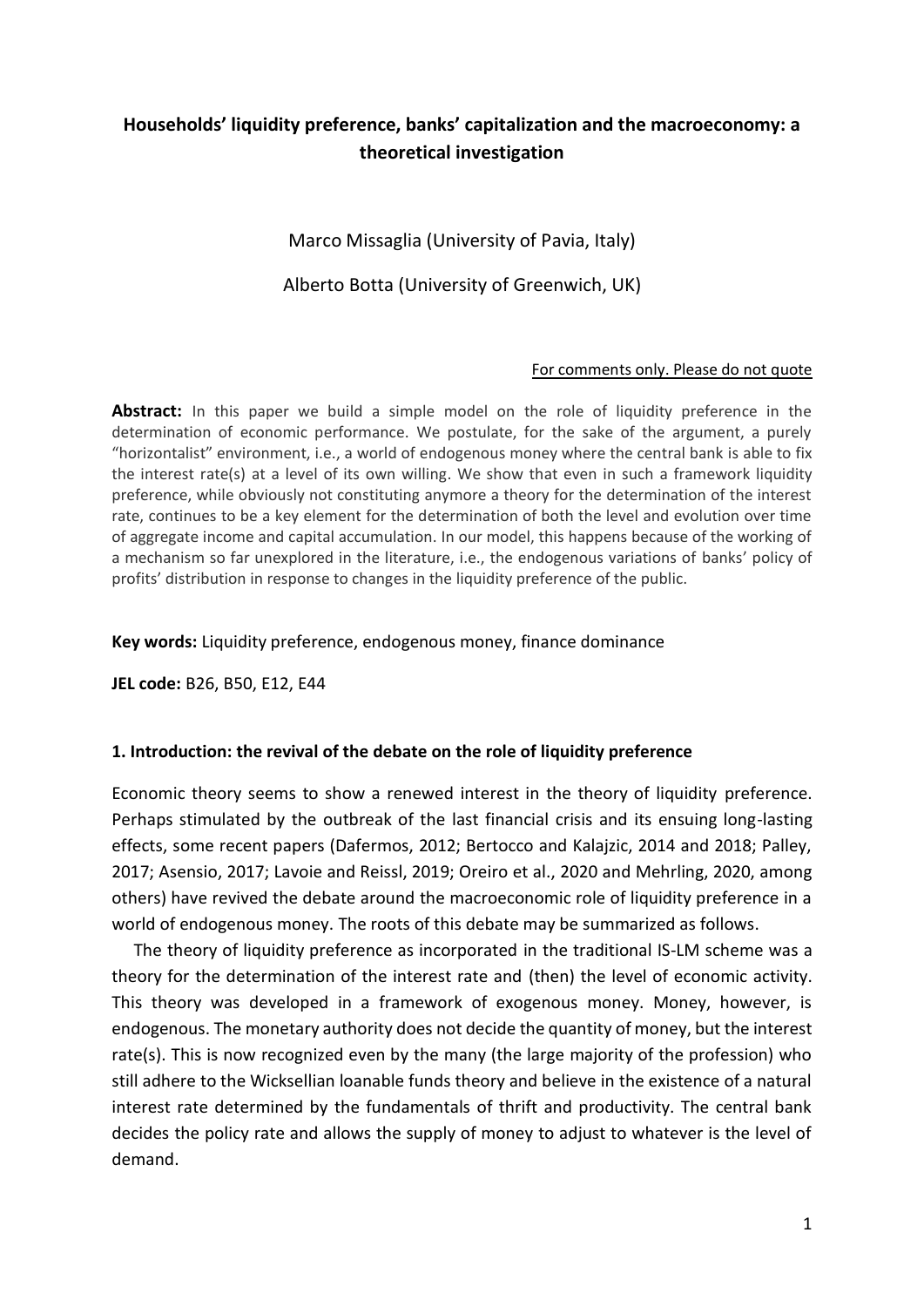# **Households' liquidity preference, banks' capitalization and the macroeconomy: a theoretical investigation**

# Marco Missaglia (University of Pavia, Italy)

# Alberto Botta (University of Greenwich, UK)

#### For comments only. Please do not quote

**Abstract:** In this paper we build a simple model on the role of liquidity preference in the determination of economic performance. We postulate, for the sake of the argument, a purely "horizontalist" environment, i.e., a world of endogenous money where the central bank is able to fix the interest rate(s) at a level of its own willing. We show that even in such a framework liquidity preference, while obviously not constituting anymore a theory for the determination of the interest rate, continues to be a key element for the determination of both the level and evolution over time of aggregate income and capital accumulation. In our model, this happens because of the working of a mechanism so far unexplored in the literature, i.e., the endogenous variations of banks' policy of profits' distribution in response to changes in the liquidity preference of the public.

# **Key words:** Liquidity preference, endogenous money, finance dominance

**JEL code:** B26, B50, E12, E44

# **1. Introduction: the revival of the debate on the role of liquidity preference**

Economic theory seems to show a renewed interest in the theory of liquidity preference. Perhaps stimulated by the outbreak of the last financial crisis and its ensuing long-lasting effects, some recent papers (Dafermos, 2012; Bertocco and Kalajzic, 2014 and 2018; Palley, 2017; Asensio, 2017; Lavoie and Reissl, 2019; Oreiro et al., 2020 and Mehrling, 2020, among others) have revived the debate around the macroeconomic role of liquidity preference in a world of endogenous money. The roots of this debate may be summarized as follows.

The theory of liquidity preference as incorporated in the traditional IS-LM scheme was a theory for the determination of the interest rate and (then) the level of economic activity. This theory was developed in a framework of exogenous money. Money, however, is endogenous. The monetary authority does not decide the quantity of money, but the interest rate(s). This is now recognized even by the many (the large majority of the profession) who still adhere to the Wicksellian loanable funds theory and believe in the existence of a natural interest rate determined by the fundamentals of thrift and productivity. The central bank decides the policy rate and allows the supply of money to adjust to whatever is the level of demand.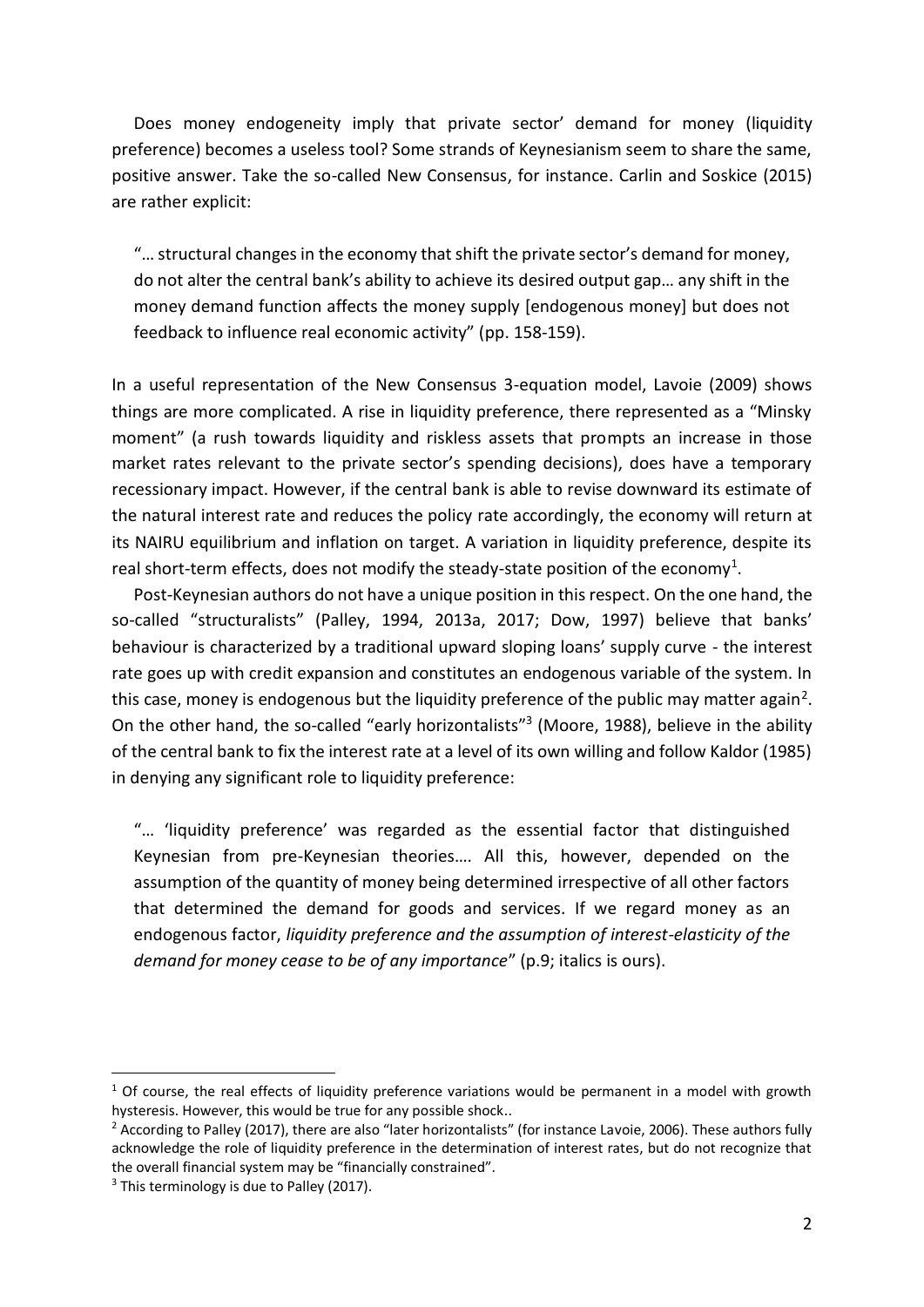Does money endogeneity imply that private sector' demand for money (liquidity preference) becomes a useless tool? Some strands of Keynesianism seem to share the same, positive answer. Take the so-called New Consensus, for instance. Carlin and Soskice (2015) are rather explicit:

"… structural changes in the economy that shift the private sector's demand for money, do not alter the central bank's ability to achieve its desired output gap… any shift in the money demand function affects the money supply [endogenous money] but does not feedback to influence real economic activity" (pp. 158-159).

In a useful representation of the New Consensus 3-equation model, Lavoie (2009) shows things are more complicated. A rise in liquidity preference, there represented as a "Minsky moment" (a rush towards liquidity and riskless assets that prompts an increase in those market rates relevant to the private sector's spending decisions), does have a temporary recessionary impact. However, if the central bank is able to revise downward its estimate of the natural interest rate and reduces the policy rate accordingly, the economy will return at its NAIRU equilibrium and inflation on target. A variation in liquidity preference, despite its real short-term effects, does not modify the steady-state position of the economy<sup>1</sup>.

Post-Keynesian authors do not have a unique position in this respect. On the one hand, the so-called "structuralists" (Palley, 1994, 2013a, 2017; Dow, 1997) believe that banks' behaviour is characterized by a traditional upward sloping loans' supply curve - the interest rate goes up with credit expansion and constitutes an endogenous variable of the system. In this case, money is endogenous but the liquidity preference of the public may matter again<sup>2</sup>. On the other hand, the so-called "early horizontalists"<sup>3</sup> (Moore, 1988), believe in the ability of the central bank to fix the interest rate at a level of its own willing and follow Kaldor (1985) in denying any significant role to liquidity preference:

"… 'liquidity preference' was regarded as the essential factor that distinguished Keynesian from pre-Keynesian theories…. All this, however, depended on the assumption of the quantity of money being determined irrespective of all other factors that determined the demand for goods and services. If we regard money as an endogenous factor, *liquidity preference and the assumption of interest-elasticity of the demand for money cease to be of any importance*" (p.9; italics is ours).

 $1$  Of course, the real effects of liquidity preference variations would be permanent in a model with growth hysteresis. However, this would be true for any possible shock..

<sup>&</sup>lt;sup>2</sup> According to Palley (2017), there are also "later horizontalists" (for instance Lavoie, 2006). These authors fully acknowledge the role of liquidity preference in the determination of interest rates, but do not recognize that the overall financial system may be "financially constrained".

 $3$  This terminology is due to Palley (2017).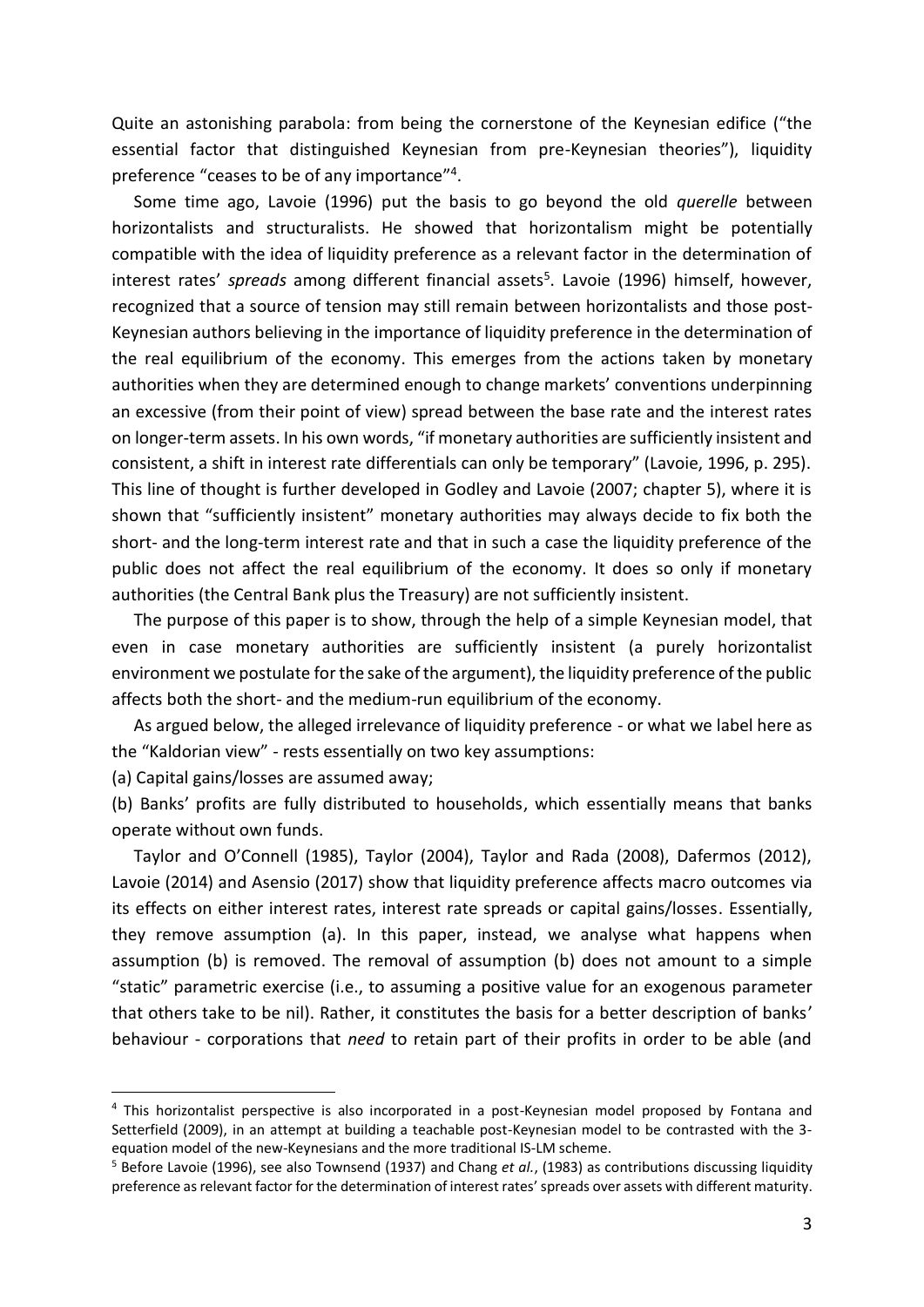Quite an astonishing parabola: from being the cornerstone of the Keynesian edifice ("the essential factor that distinguished Keynesian from pre-Keynesian theories"), liquidity preference "ceases to be of any importance"<sup>4</sup>.

Some time ago, Lavoie (1996) put the basis to go beyond the old *querelle* between horizontalists and structuralists. He showed that horizontalism might be potentially compatible with the idea of liquidity preference as a relevant factor in the determination of interest rates' spreads among different financial assets<sup>5</sup>. Lavoie (1996) himself, however, recognized that a source of tension may still remain between horizontalists and those post-Keynesian authors believing in the importance of liquidity preference in the determination of the real equilibrium of the economy. This emerges from the actions taken by monetary authorities when they are determined enough to change markets' conventions underpinning an excessive (from their point of view) spread between the base rate and the interest rates on longer-term assets. In his own words, "if monetary authorities are sufficiently insistent and consistent, a shift in interest rate differentials can only be temporary" (Lavoie, 1996, p. 295). This line of thought is further developed in Godley and Lavoie (2007; chapter 5), where it is shown that "sufficiently insistent" monetary authorities may always decide to fix both the short- and the long-term interest rate and that in such a case the liquidity preference of the public does not affect the real equilibrium of the economy. It does so only if monetary authorities (the Central Bank plus the Treasury) are not sufficiently insistent.

The purpose of this paper is to show, through the help of a simple Keynesian model, that even in case monetary authorities are sufficiently insistent (a purely horizontalist environment we postulate for the sake of the argument), the liquidity preference of the public affects both the short- and the medium-run equilibrium of the economy.

As argued below, the alleged irrelevance of liquidity preference - or what we label here as the "Kaldorian view" - rests essentially on two key assumptions:

(a) Capital gains/losses are assumed away;

(b) Banks' profits are fully distributed to households, which essentially means that banks operate without own funds.

Taylor and O'Connell (1985), Taylor (2004), Taylor and Rada (2008), Dafermos (2012), Lavoie (2014) and Asensio (2017) show that liquidity preference affects macro outcomes via its effects on either interest rates, interest rate spreads or capital gains/losses. Essentially, they remove assumption (a). In this paper, instead, we analyse what happens when assumption (b) is removed. The removal of assumption (b) does not amount to a simple "static" parametric exercise (i.e., to assuming a positive value for an exogenous parameter that others take to be nil). Rather, it constitutes the basis for a better description of banks' behaviour - corporations that *need* to retain part of their profits in order to be able (and

<sup>4</sup> This horizontalist perspective is also incorporated in a post-Keynesian model proposed by Fontana and Setterfield (2009), in an attempt at building a teachable post-Keynesian model to be contrasted with the 3 equation model of the new-Keynesians and the more traditional IS-LM scheme.

<sup>5</sup> Before Lavoie (1996), see also Townsend (1937) and Chang *et al.*, (1983) as contributions discussing liquidity preference as relevant factor for the determination of interest rates' spreads over assets with different maturity.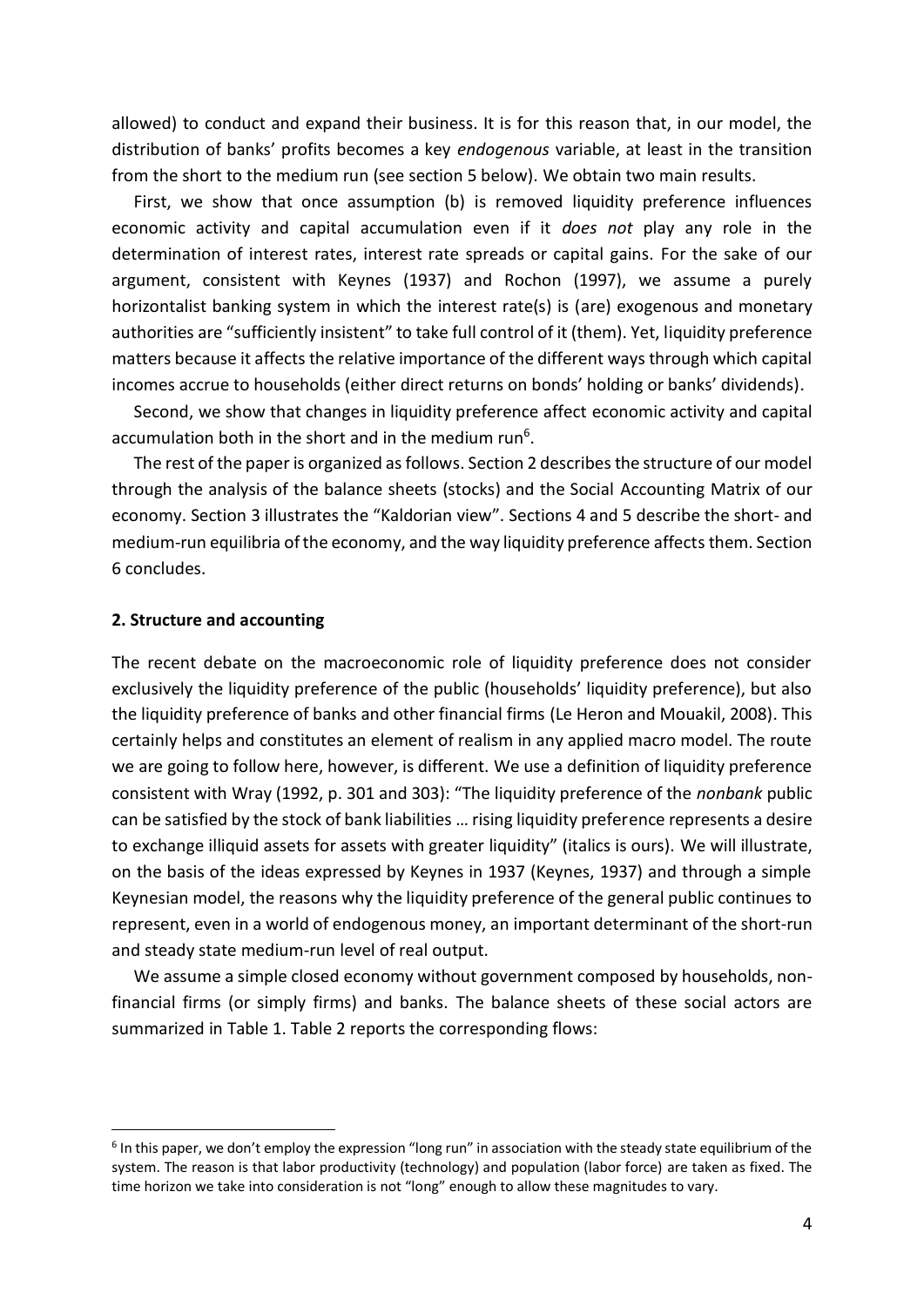allowed) to conduct and expand their business. It is for this reason that, in our model, the distribution of banks' profits becomes a key *endogenous* variable, at least in the transition from the short to the medium run (see section 5 below). We obtain two main results.

First, we show that once assumption (b) is removed liquidity preference influences economic activity and capital accumulation even if it *does not* play any role in the determination of interest rates, interest rate spreads or capital gains. For the sake of our argument, consistent with Keynes (1937) and Rochon (1997), we assume a purely horizontalist banking system in which the interest rate(s) is (are) exogenous and monetary authorities are "sufficiently insistent" to take full control of it (them). Yet, liquidity preference matters because it affects the relative importance of the different ways through which capital incomes accrue to households (either direct returns on bonds' holding or banks' dividends).

Second, we show that changes in liquidity preference affect economic activity and capital accumulation both in the short and in the medium run<sup>6</sup>.

The rest of the paper is organized as follows. Section 2 describes the structure of our model through the analysis of the balance sheets (stocks) and the Social Accounting Matrix of our economy. Section 3 illustrates the "Kaldorian view". Sections 4 and 5 describe the short- and medium-run equilibria of the economy, and the way liquidity preference affects them. Section 6 concludes.

#### **2. Structure and accounting**

The recent debate on the macroeconomic role of liquidity preference does not consider exclusively the liquidity preference of the public (households' liquidity preference), but also the liquidity preference of banks and other financial firms (Le Heron and Mouakil, 2008). This certainly helps and constitutes an element of realism in any applied macro model. The route we are going to follow here, however, is different. We use a definition of liquidity preference consistent with Wray (1992, p. 301 and 303): "The liquidity preference of the *nonbank* public can be satisfied by the stock of bank liabilities … rising liquidity preference represents a desire to exchange illiquid assets for assets with greater liquidity" (italics is ours). We will illustrate, on the basis of the ideas expressed by Keynes in 1937 (Keynes, 1937) and through a simple Keynesian model, the reasons why the liquidity preference of the general public continues to represent, even in a world of endogenous money, an important determinant of the short-run and steady state medium-run level of real output.

We assume a simple closed economy without government composed by households, nonfinancial firms (or simply firms) and banks. The balance sheets of these social actors are summarized in Table 1. Table 2 reports the corresponding flows:

<sup>&</sup>lt;sup>6</sup> In this paper, we don't employ the expression "long run" in association with the steady state equilibrium of the system. The reason is that labor productivity (technology) and population (labor force) are taken as fixed. The time horizon we take into consideration is not "long" enough to allow these magnitudes to vary.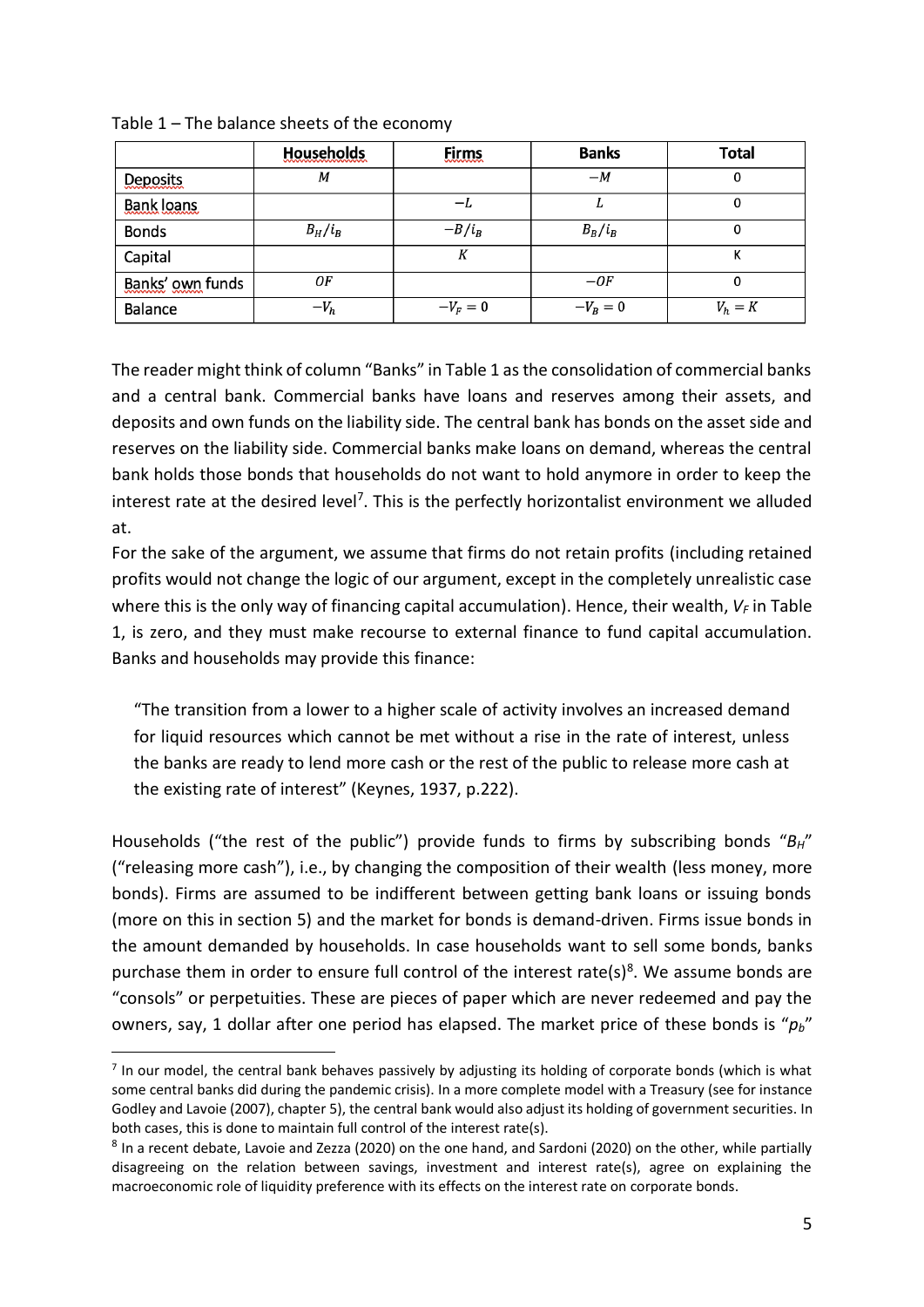|                                  | <b>Households</b> | <b>Eirms</b> | <b>Banks</b> | Total     |
|----------------------------------|-------------------|--------------|--------------|-----------|
| <b>Deposits</b>                  | М                 |              | $-M$         | 0         |
| <b>Bank loans</b><br>minim minim |                   | —L           | L            | 0         |
| <b>Bonds</b>                     | $B_H/i_B$         | $-B/i_B$     | $B_B/i_B$    | 0         |
| Capital                          |                   | K            |              |           |
| Banks' own funds                 | 0F                |              | $-OF$        | 0         |
| Balance                          | $-V_h$            | $-V_F = 0$   | $-V_B=0$     | $V_h = K$ |

Table 1 – The balance sheets of the economy

The reader might think of column "Banks" in Table 1 as the consolidation of commercial banks and a central bank. Commercial banks have loans and reserves among their assets, and deposits and own funds on the liability side. The central bank has bonds on the asset side and reserves on the liability side. Commercial banks make loans on demand, whereas the central bank holds those bonds that households do not want to hold anymore in order to keep the interest rate at the desired level<sup>7</sup>. This is the perfectly horizontalist environment we alluded at.

For the sake of the argument, we assume that firms do not retain profits (including retained profits would not change the logic of our argument, except in the completely unrealistic case where this is the only way of financing capital accumulation). Hence, their wealth, *V<sup>F</sup>* in Table 1, is zero, and they must make recourse to external finance to fund capital accumulation. Banks and households may provide this finance:

"The transition from a lower to a higher scale of activity involves an increased demand for liquid resources which cannot be met without a rise in the rate of interest, unless the banks are ready to lend more cash or the rest of the public to release more cash at the existing rate of interest" (Keynes, 1937, p.222).

Households ("the rest of the public") provide funds to firms by subscribing bonds "*BH*" ("releasing more cash"), i.e., by changing the composition of their wealth (less money, more bonds). Firms are assumed to be indifferent between getting bank loans or issuing bonds (more on this in section 5) and the market for bonds is demand-driven. Firms issue bonds in the amount demanded by households. In case households want to sell some bonds, banks purchase them in order to ensure full control of the interest rate(s)<sup>8</sup>. We assume bonds are "consols" or perpetuities. These are pieces of paper which are never redeemed and pay the owners, say, 1 dollar after one period has elapsed. The market price of these bonds is "*pb*"

 $<sup>7</sup>$  In our model, the central bank behaves passively by adjusting its holding of corporate bonds (which is what</sup> some central banks did during the pandemic crisis). In a more complete model with a Treasury (see for instance Godley and Lavoie (2007), chapter 5), the central bank would also adjust its holding of government securities. In both cases, this is done to maintain full control of the interest rate(s).

<sup>&</sup>lt;sup>8</sup> In a recent debate, Lavoie and Zezza (2020) on the one hand, and Sardoni (2020) on the other, while partially disagreeing on the relation between savings, investment and interest rate(s), agree on explaining the macroeconomic role of liquidity preference with its effects on the interest rate on corporate bonds.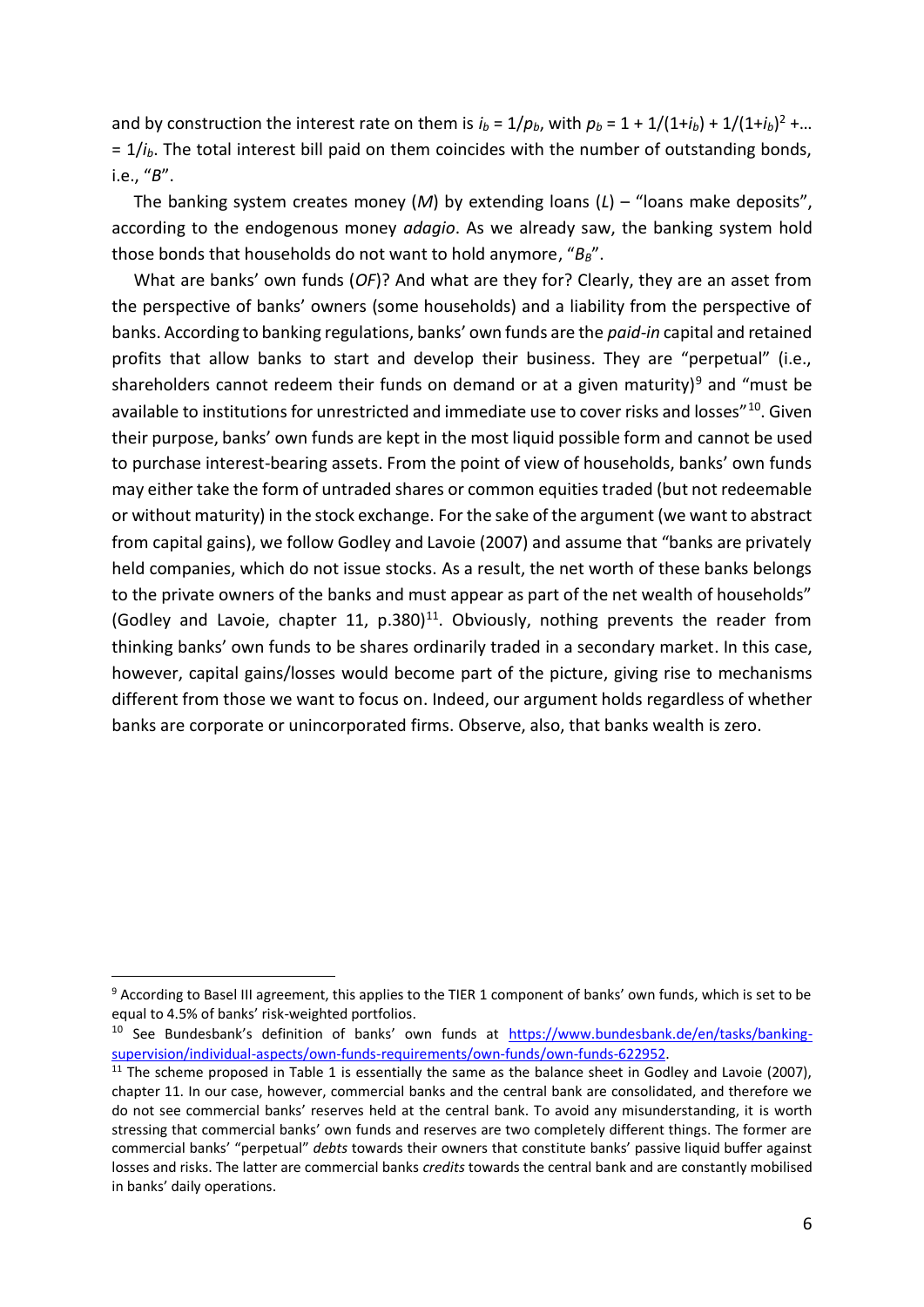and by construction the interest rate on them is  $i_b = 1/p_b$ , with  $p_b = 1 + 1/(1+i_b) + 1/(1+i_b)^2 + ...$ = 1/*ib*. The total interest bill paid on them coincides with the number of outstanding bonds, i.e., "*B*".

The banking system creates money (*M*) by extending loans (*L*) – "loans make deposits", according to the endogenous money *adagio*. As we already saw, the banking system hold those bonds that households do not want to hold anymore, "*BB*".

What are banks' own funds (*OF*)? And what are they for? Clearly, they are an asset from the perspective of banks' owners (some households) and a liability from the perspective of banks. According to banking regulations, banks' own funds are the *paid-in* capital and retained profits that allow banks to start and develop their business. They are "perpetual" (i.e., shareholders cannot redeem their funds on demand or at a given maturity)<sup>9</sup> and "must be available to institutions for unrestricted and immediate use to cover risks and losses"<sup>10</sup>. Given their purpose, banks' own funds are kept in the most liquid possible form and cannot be used to purchase interest-bearing assets. From the point of view of households, banks' own funds may either take the form of untraded shares or common equities traded (but not redeemable or without maturity) in the stock exchange. For the sake of the argument (we want to abstract from capital gains), we follow Godley and Lavoie (2007) and assume that "banks are privately held companies, which do not issue stocks. As a result, the net worth of these banks belongs to the private owners of the banks and must appear as part of the net wealth of households" (Godley and Lavoie, chapter 11,  $p.380$ <sup>11</sup>. Obviously, nothing prevents the reader from thinking banks' own funds to be shares ordinarily traded in a secondary market. In this case, however, capital gains/losses would become part of the picture, giving rise to mechanisms different from those we want to focus on. Indeed, our argument holds regardless of whether banks are corporate or unincorporated firms. Observe, also, that banks wealth is zero.

<sup>&</sup>lt;sup>9</sup> According to Basel III agreement, this applies to the TIER 1 component of banks' own funds, which is set to be equal to 4.5% of banks' risk-weighted portfolios.

<sup>&</sup>lt;sup>10</sup> See Bundesbank's definition of banks' own funds at [https://www.bundesbank.de/en/tasks/banking](about:blank)[supervision/individual-aspects/own-funds-requirements/own-funds/own-funds-622952.](about:blank)

 $11$  The scheme proposed in Table 1 is essentially the same as the balance sheet in Godley and Lavoie (2007), chapter 11. In our case, however, commercial banks and the central bank are consolidated, and therefore we do not see commercial banks' reserves held at the central bank. To avoid any misunderstanding, it is worth stressing that commercial banks' own funds and reserves are two completely different things. The former are commercial banks' "perpetual" *debts* towards their owners that constitute banks' passive liquid buffer against losses and risks. The latter are commercial banks *credits* towards the central bank and are constantly mobilised in banks' daily operations.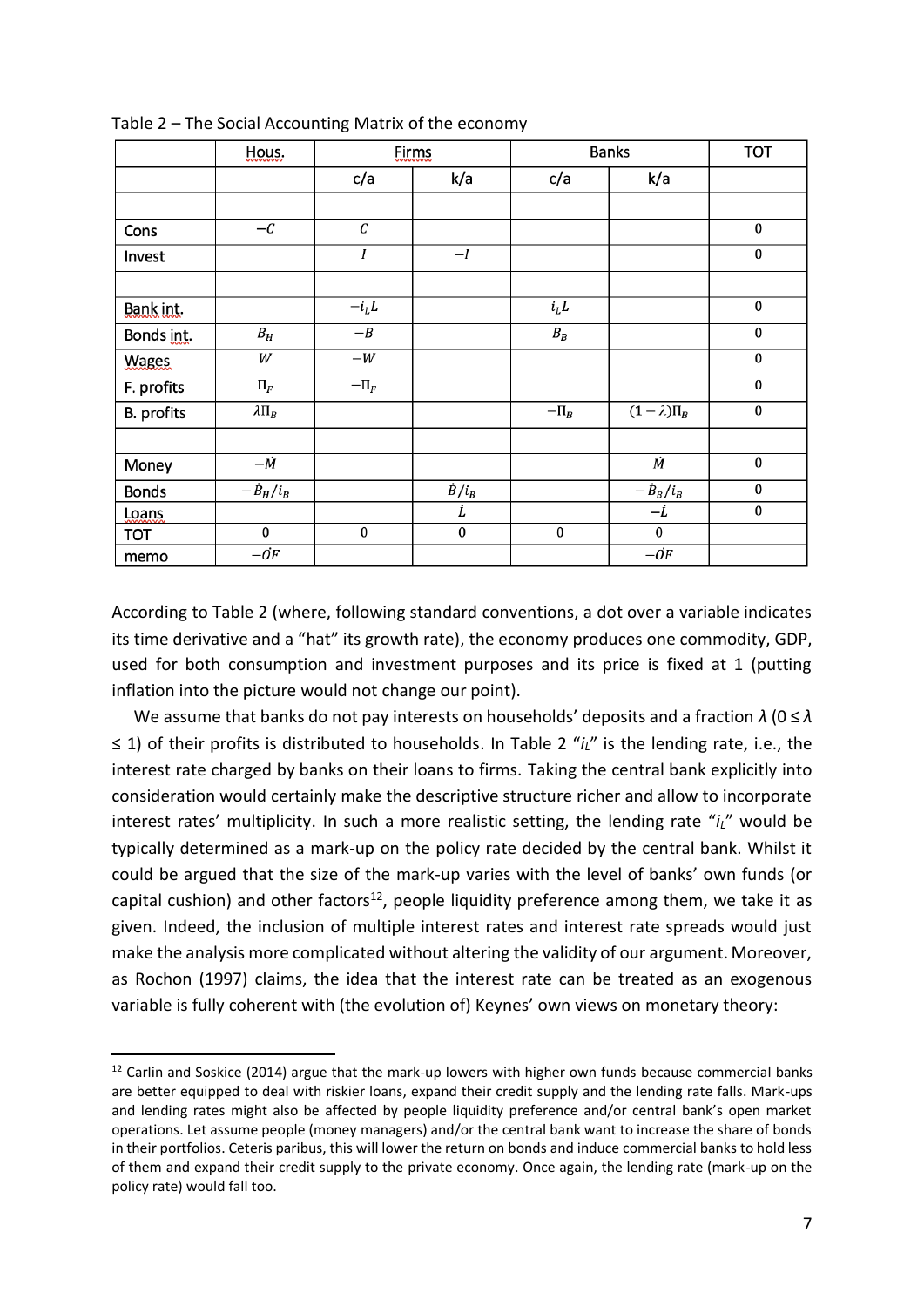|              | Hous.                  | <b>Eirms</b> |               | <b>Banks</b> |                         | <b>TOT</b> |
|--------------|------------------------|--------------|---------------|--------------|-------------------------|------------|
|              |                        | c/a          | k/a           | c/a          | k/a                     |            |
|              |                        |              |               |              |                         |            |
| Cons         | $-c$                   | $\cal C$     |               |              |                         | $\bf{0}$   |
| Invest       |                        | I            | $-I$          |              |                         | $\pmb{0}$  |
|              |                        |              |               |              |                         |            |
| Bank int.    |                        | $-i_{L}L$    |               | $i_L$ L      |                         | $\bf{0}$   |
| Bonds int.   | $B_H$                  | $-B$         |               | $B_{\cal B}$ |                         | $\pmb{0}$  |
| <b>Wages</b> | W                      | $-W$         |               |              |                         | $\pmb{0}$  |
| F. profits   | $\Pi_F$                | $-\Pi_F$     |               |              |                         | $\bf{0}$   |
| B. profits   | $\lambda \Pi_B$        |              |               | $-\Pi_B$     | $(1 - \lambda)$ $\Pi_B$ | $\bf{0}$   |
|              |                        |              |               |              |                         |            |
| Money        | $-\dot{M}$             |              |               |              | $\overline{M}$          | $\pmb{0}$  |
| <b>Bonds</b> | $-\dot{B}_H/\dot{i}_B$ |              | $\dot{B}/i_B$ |              | $-\dot{B}_B/i_B$        | $\bf{0}$   |
| Loans        |                        |              | Ĺ             |              | $-\dot{L}$              | $\bf{0}$   |
| <b>TOT</b>   | $\pmb{0}$              | $\pmb{0}$    | $\pmb{0}$     | $\pmb{0}$    | $\bf{0}$                |            |
| memo         | $-\dot{OF}$            |              |               |              | $-\dot{OF}$             |            |

Table 2 – The Social Accounting Matrix of the economy

According to Table 2 (where, following standard conventions, a dot over a variable indicates its time derivative and a "hat" its growth rate), the economy produces one commodity, GDP, used for both consumption and investment purposes and its price is fixed at 1 (putting inflation into the picture would not change our point).

We assume that banks do not pay interests on households' deposits and a fraction *λ* (0 ≤ *λ* ≤ 1) of their profits is distributed to households. In Table 2 "*iL*" is the lending rate, i.e., the interest rate charged by banks on their loans to firms. Taking the central bank explicitly into consideration would certainly make the descriptive structure richer and allow to incorporate interest rates' multiplicity. In such a more realistic setting, the lending rate "*iL*" would be typically determined as a mark-up on the policy rate decided by the central bank. Whilst it could be argued that the size of the mark-up varies with the level of banks' own funds (or capital cushion) and other factors<sup>12</sup>, people liquidity preference among them, we take it as given. Indeed, the inclusion of multiple interest rates and interest rate spreads would just make the analysis more complicated without altering the validity of our argument. Moreover, as Rochon (1997) claims, the idea that the interest rate can be treated as an exogenous variable is fully coherent with (the evolution of) Keynes' own views on monetary theory:

 $12$  Carlin and Soskice (2014) argue that the mark-up lowers with higher own funds because commercial banks are better equipped to deal with riskier loans, expand their credit supply and the lending rate falls. Mark-ups and lending rates might also be affected by people liquidity preference and/or central bank's open market operations. Let assume people (money managers) and/or the central bank want to increase the share of bonds in their portfolios. Ceteris paribus, this will lower the return on bonds and induce commercial banks to hold less of them and expand their credit supply to the private economy. Once again, the lending rate (mark-up on the policy rate) would fall too.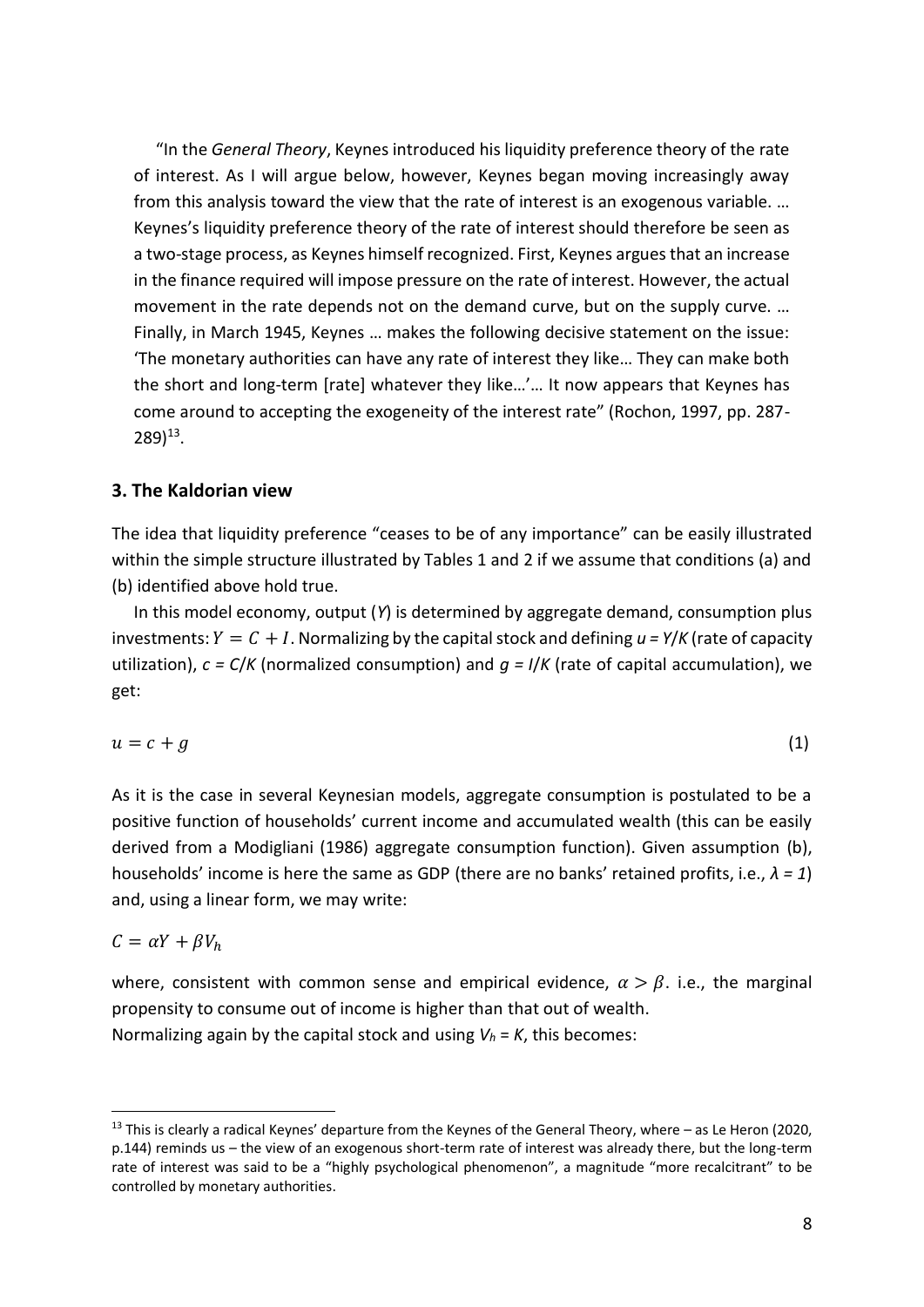"In the *General Theory*, Keynes introduced his liquidity preference theory of the rate of interest. As I will argue below, however, Keynes began moving increasingly away from this analysis toward the view that the rate of interest is an exogenous variable. … Keynes's liquidity preference theory of the rate of interest should therefore be seen as a two-stage process, as Keynes himself recognized. First, Keynes argues that an increase in the finance required will impose pressure on the rate of interest. However, the actual movement in the rate depends not on the demand curve, but on the supply curve. … Finally, in March 1945, Keynes … makes the following decisive statement on the issue: 'The monetary authorities can have any rate of interest they like… They can make both the short and long-term [rate] whatever they like…'… It now appears that Keynes has come around to accepting the exogeneity of the interest rate" (Rochon, 1997, pp. 287-  $289)$ <sup>13</sup>.

# **3. The Kaldorian view**

The idea that liquidity preference "ceases to be of any importance" can be easily illustrated within the simple structure illustrated by Tables 1 and 2 if we assume that conditions (a) and (b) identified above hold true.

In this model economy, output (*Y*) is determined by aggregate demand, consumption plus investments:  $Y = C + I$ . Normalizing by the capital stock and defining  $u = Y/K$  (rate of capacity utilization), *c = C*/*K* (normalized consumption) and *g = I*/*K* (rate of capital accumulation), we get:

$$
u = c + g \tag{1}
$$

As it is the case in several Keynesian models, aggregate consumption is postulated to be a positive function of households' current income and accumulated wealth (this can be easily derived from a Modigliani (1986) aggregate consumption function). Given assumption (b), households' income is here the same as GDP (there are no banks' retained profits, i.e., *λ = 1*) and, using a linear form, we may write:

$$
C = \alpha Y + \beta V_h
$$

where, consistent with common sense and empirical evidence,  $\alpha > \beta$ . i.e., the marginal propensity to consume out of income is higher than that out of wealth. Normalizing again by the capital stock and using  $V_h = K$ , this becomes:

 $13$  This is clearly a radical Keynes' departure from the Keynes of the General Theory, where – as Le Heron (2020, p.144) reminds us – the view of an exogenous short-term rate of interest was already there, but the long-term rate of interest was said to be a "highly psychological phenomenon", a magnitude "more recalcitrant" to be controlled by monetary authorities.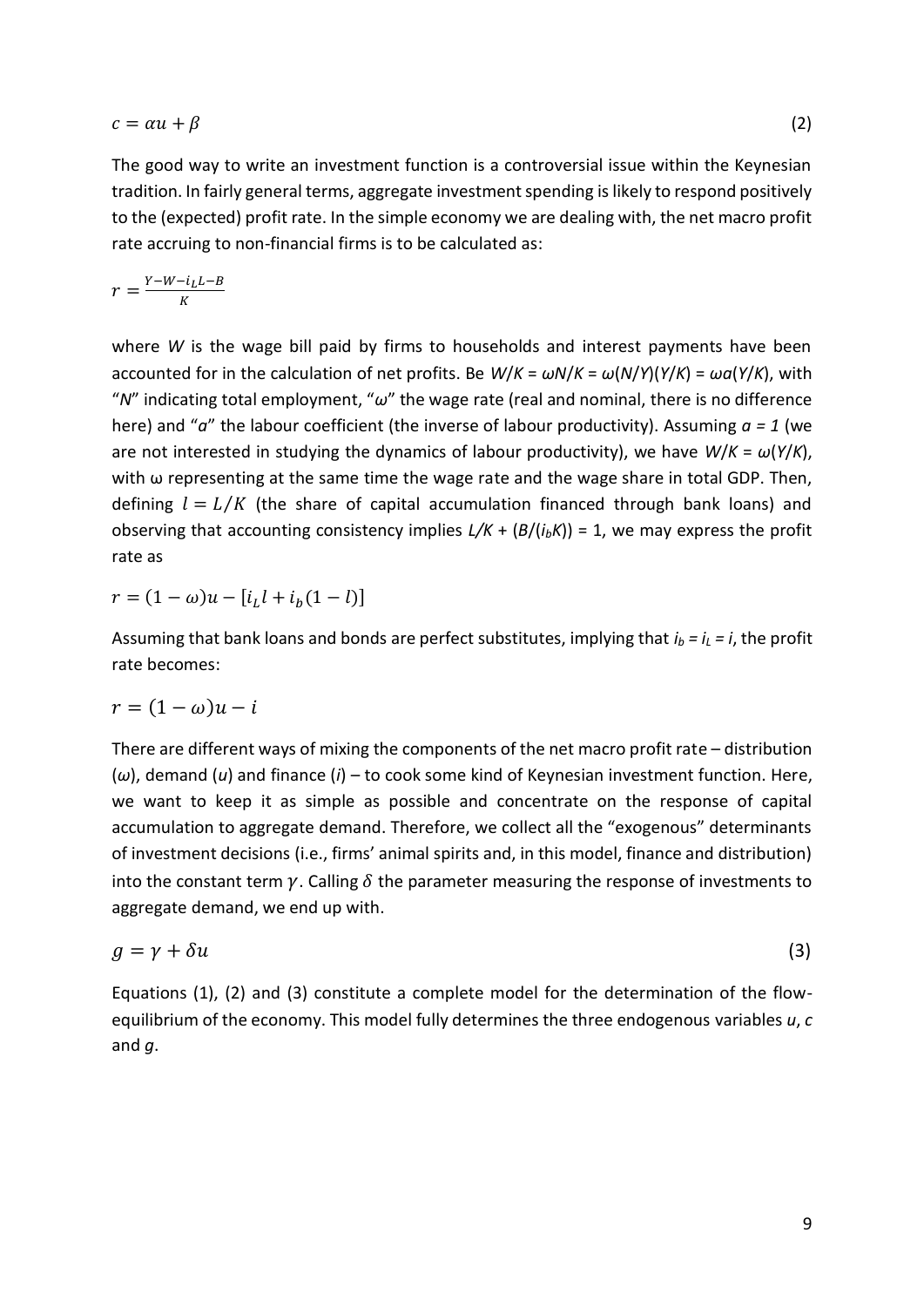$c = \alpha u + \beta$  (2)

The good way to write an investment function is a controversial issue within the Keynesian tradition. In fairly general terms, aggregate investment spending is likely to respond positively to the (expected) profit rate. In the simple economy we are dealing with, the net macro profit rate accruing to non-financial firms is to be calculated as:

$$
r = \frac{Y - W - i_L L - B}{K}
$$

where *W* is the wage bill paid by firms to households and interest payments have been accounted for in the calculation of net profits. Be *W*/*K* = *ωN*/*K* = *ω*(*N*/*Y*)(*Y*/*K*) = *ωa*(*Y*/*K*), with "*N*" indicating total employment, "*ω*" the wage rate (real and nominal, there is no difference here) and "*a*" the labour coefficient (the inverse of labour productivity). Assuming *a = 1* (we are not interested in studying the dynamics of labour productivity), we have *W*/*K* = *ω*(*Y*/*K*), with ω representing at the same time the wage rate and the wage share in total GDP. Then, defining  $l = L/K$  (the share of capital accumulation financed through bank loans) and observing that accounting consistency implies  $L/K + (B/(i_b K)) = 1$ , we may express the profit rate as

$$
r = (1 - \omega)u - [iLl + ib(1 - l)]
$$

Assuming that bank loans and bonds are perfect substitutes, implying that  $i_b = i_l = i$ , the profit rate becomes:

$$
r=(1-\omega)u-i
$$

There are different ways of mixing the components of the net macro profit rate – distribution (*ω*), demand (*u*) and finance (*i*) – to cook some kind of Keynesian investment function. Here, we want to keep it as simple as possible and concentrate on the response of capital accumulation to aggregate demand. Therefore, we collect all the "exogenous" determinants of investment decisions (i.e., firms' animal spirits and, in this model, finance and distribution) into the constant term  $\gamma$ . Calling  $\delta$  the parameter measuring the response of investments to aggregate demand, we end up with.

$$
g = \gamma + \delta u \tag{3}
$$

Equations (1), (2) and (3) constitute a complete model for the determination of the flowequilibrium of the economy. This model fully determines the three endogenous variables *u*, *c* and *g*.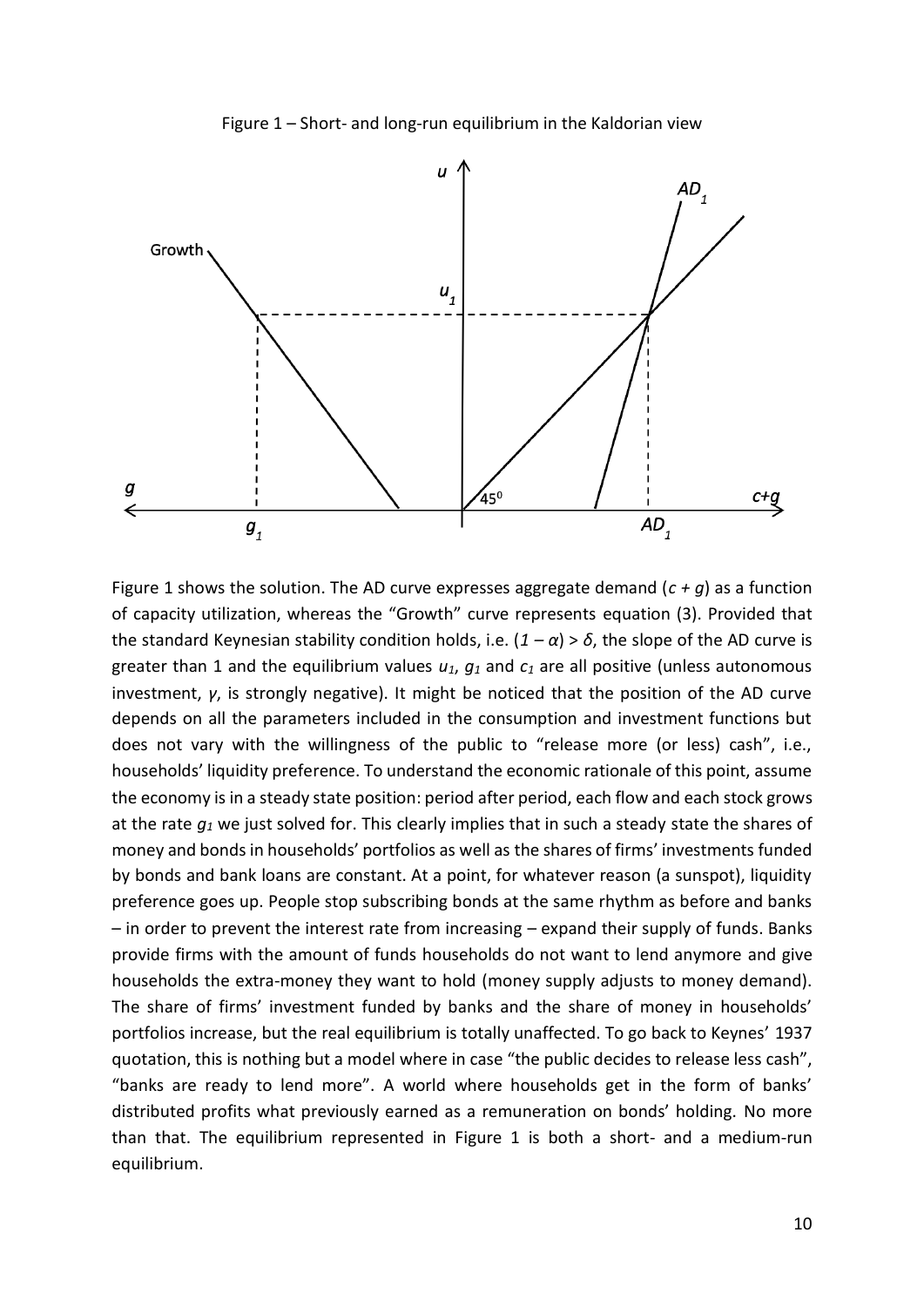Figure 1 – Short- and long-run equilibrium in the Kaldorian view



Figure 1 shows the solution. The AD curve expresses aggregate demand (*c + g*) as a function of capacity utilization, whereas the "Growth" curve represents equation (3). Provided that the standard Keynesian stability condition holds, i.e.  $(1 - \alpha)$  > δ, the slope of the AD curve is greater than 1 and the equilibrium values *u1*, *g<sup>1</sup>* and *c<sup>1</sup>* are all positive (unless autonomous investment, *γ*, is strongly negative). It might be noticed that the position of the AD curve depends on all the parameters included in the consumption and investment functions but does not vary with the willingness of the public to "release more (or less) cash", i.e., households' liquidity preference. To understand the economic rationale of this point, assume the economy is in a steady state position: period after period, each flow and each stock grows at the rate *g<sup>1</sup>* we just solved for. This clearly implies that in such a steady state the shares of money and bonds in households' portfolios as well as the shares of firms' investments funded by bonds and bank loans are constant. At a point, for whatever reason (a sunspot), liquidity preference goes up. People stop subscribing bonds at the same rhythm as before and banks – in order to prevent the interest rate from increasing – expand their supply of funds. Banks provide firms with the amount of funds households do not want to lend anymore and give households the extra-money they want to hold (money supply adjusts to money demand). The share of firms' investment funded by banks and the share of money in households' portfolios increase, but the real equilibrium is totally unaffected. To go back to Keynes' 1937 quotation, this is nothing but a model where in case "the public decides to release less cash", "banks are ready to lend more". A world where households get in the form of banks' distributed profits what previously earned as a remuneration on bonds' holding. No more than that. The equilibrium represented in Figure 1 is both a short- and a medium-run equilibrium.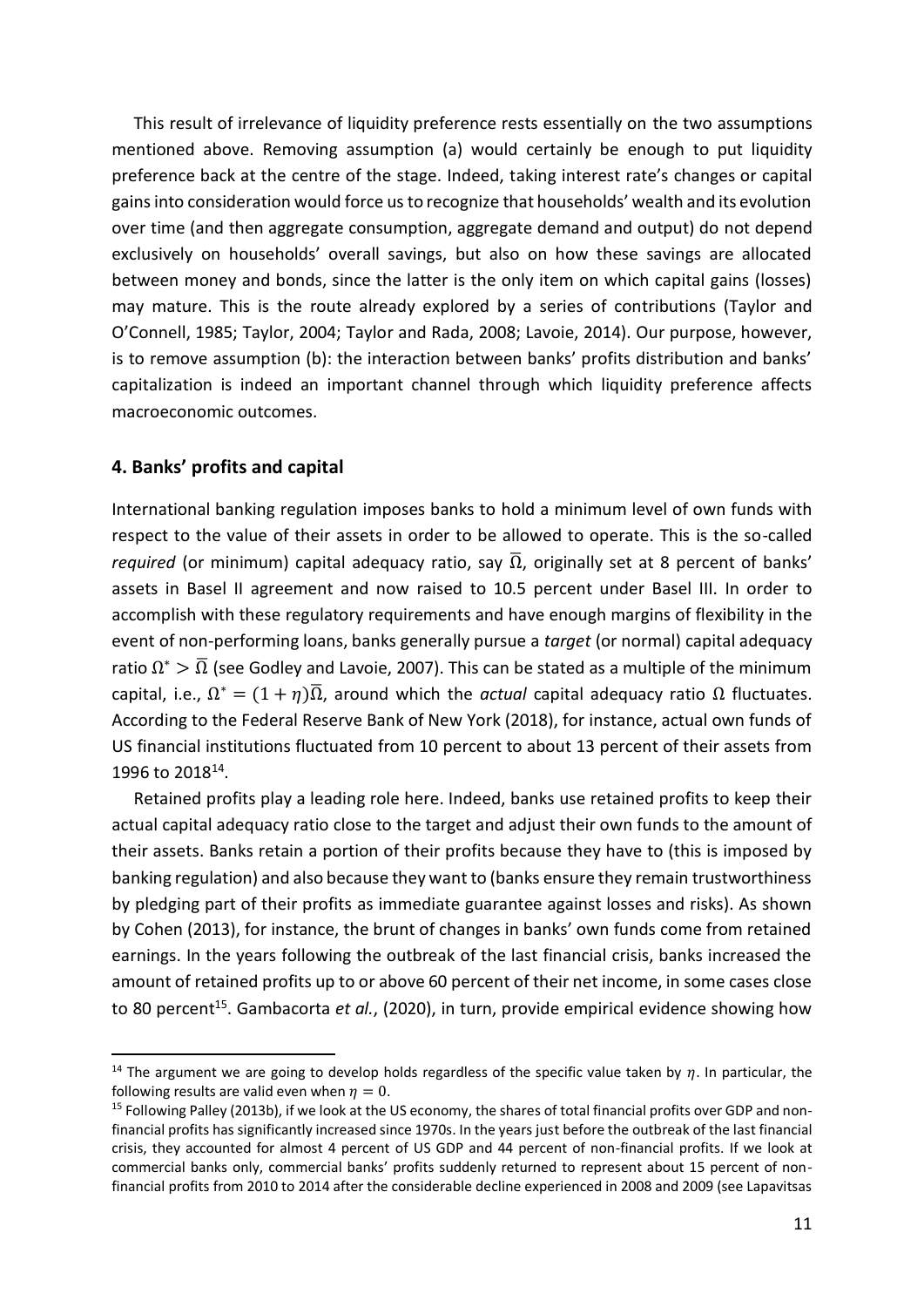This result of irrelevance of liquidity preference rests essentially on the two assumptions mentioned above. Removing assumption (a) would certainly be enough to put liquidity preference back at the centre of the stage. Indeed, taking interest rate's changes or capital gains into consideration would force us to recognize that households' wealth and its evolution over time (and then aggregate consumption, aggregate demand and output) do not depend exclusively on households' overall savings, but also on how these savings are allocated between money and bonds, since the latter is the only item on which capital gains (losses) may mature. This is the route already explored by a series of contributions (Taylor and O'Connell, 1985; Taylor, 2004; Taylor and Rada, 2008; Lavoie, 2014). Our purpose, however, is to remove assumption (b): the interaction between banks' profits distribution and banks' capitalization is indeed an important channel through which liquidity preference affects macroeconomic outcomes.

# **4. Banks' profits and capital**

International banking regulation imposes banks to hold a minimum level of own funds with respect to the value of their assets in order to be allowed to operate. This is the so-called *required* (or minimum) capital adequacy ratio, say  $\overline{\Omega}$ , originally set at 8 percent of banks' assets in Basel II agreement and now raised to 10.5 percent under Basel III. In order to accomplish with these regulatory requirements and have enough margins of flexibility in the event of non-performing loans, banks generally pursue a *target* (or normal) capital adequacy ratio  $\Omega^* > \overline{\Omega}$  (see Godley and Lavoie, 2007). This can be stated as a multiple of the minimum capital, i.e.,  $\Omega^* = (1 + \eta)\overline{\Omega}$ , around which the *actual* capital adequacy ratio  $\Omega$  fluctuates. According to the Federal Reserve Bank of New York (2018), for instance, actual own funds of US financial institutions fluctuated from 10 percent to about 13 percent of their assets from 1996 to 2018<sup>14</sup>.

Retained profits play a leading role here. Indeed, banks use retained profits to keep their actual capital adequacy ratio close to the target and adjust their own funds to the amount of their assets. Banks retain a portion of their profits because they have to (this is imposed by banking regulation) and also because they want to (banks ensure they remain trustworthiness by pledging part of their profits as immediate guarantee against losses and risks). As shown by Cohen (2013), for instance, the brunt of changes in banks' own funds come from retained earnings. In the years following the outbreak of the last financial crisis, banks increased the amount of retained profits up to or above 60 percent of their net income, in some cases close to 80 percent<sup>15</sup>. Gambacorta et al., (2020), in turn, provide empirical evidence showing how

<sup>&</sup>lt;sup>14</sup> The argument we are going to develop holds regardless of the specific value taken by  $\eta$ . In particular, the following results are valid even when  $\eta = 0$ .

<sup>&</sup>lt;sup>15</sup> Following Palley (2013b), if we look at the US economy, the shares of total financial profits over GDP and nonfinancial profits has significantly increased since 1970s. In the years just before the outbreak of the last financial crisis, they accounted for almost 4 percent of US GDP and 44 percent of non-financial profits. If we look at commercial banks only, commercial banks' profits suddenly returned to represent about 15 percent of nonfinancial profits from 2010 to 2014 after the considerable decline experienced in 2008 and 2009 (see Lapavitsas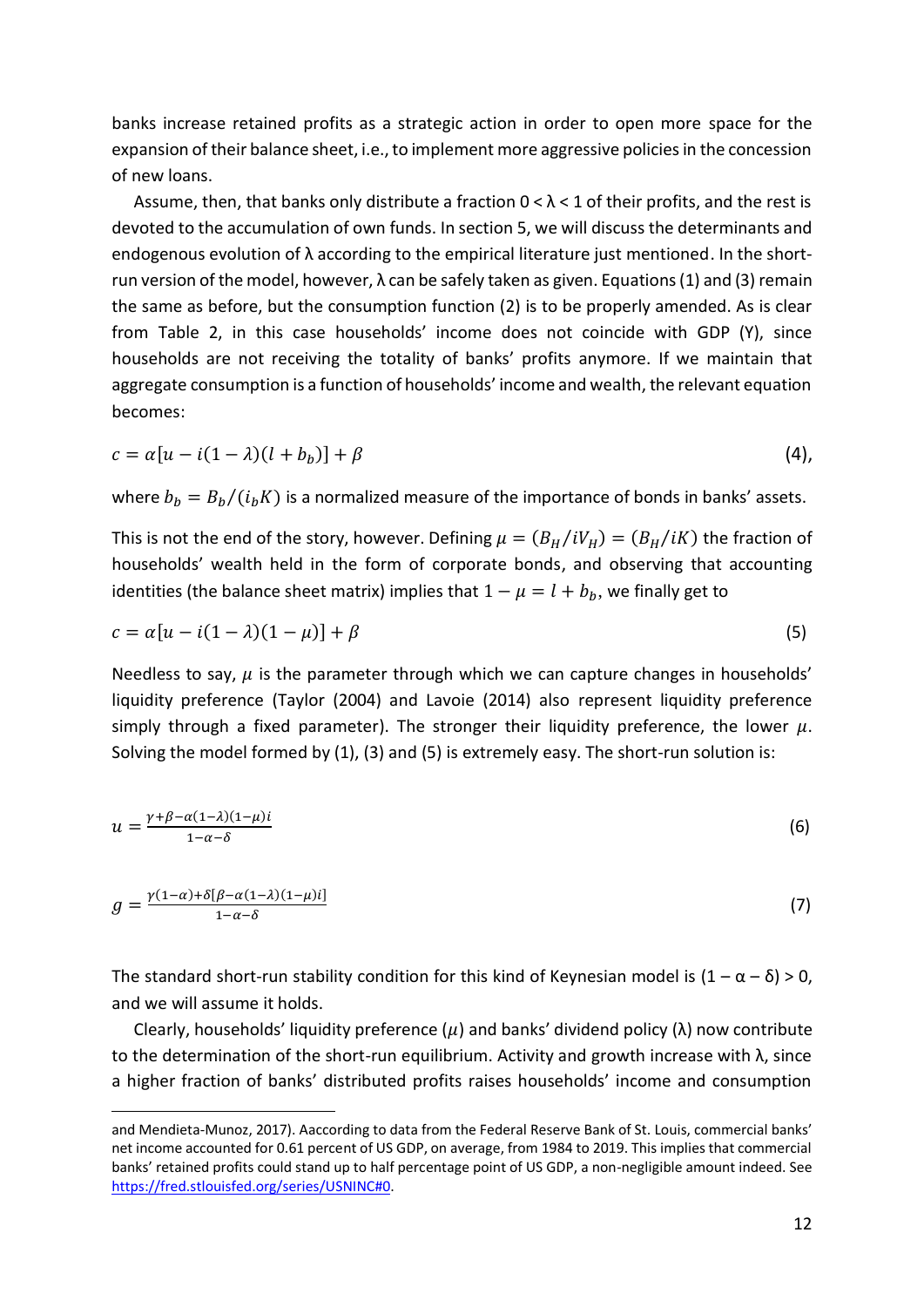banks increase retained profits as a strategic action in order to open more space for the expansion of their balance sheet, i.e., to implement more aggressive policies in the concession of new loans.

Assume, then, that banks only distribute a fraction  $0 < \lambda < 1$  of their profits, and the rest is devoted to the accumulation of own funds. In section 5, we will discuss the determinants and endogenous evolution of  $\lambda$  according to the empirical literature just mentioned. In the shortrun version of the model, however, λ can be safely taken as given. Equations (1) and (3) remain the same as before, but the consumption function (2) is to be properly amended. As is clear from Table 2, in this case households' income does not coincide with GDP (Y), since households are not receiving the totality of banks' profits anymore. If we maintain that aggregate consumption is a function of households' income and wealth, the relevant equation becomes:

$$
c = \alpha [u - i(1 - \lambda)(l + b_b)] + \beta
$$
\n<sup>(4)</sup>

where  $b_b = B_b/(i_b K)$  is a normalized measure of the importance of bonds in banks' assets.

This is not the end of the story, however. Defining  $\mu = (B_H/iV_H) = (B_H/iK)$  the fraction of households' wealth held in the form of corporate bonds, and observing that accounting identities (the balance sheet matrix) implies that  $1 - \mu = l + b_h$ , we finally get to

$$
c = \alpha[u - i(1 - \lambda)(1 - \mu)] + \beta
$$
\n<sup>(5)</sup>

Needless to say,  $\mu$  is the parameter through which we can capture changes in households' liquidity preference (Taylor (2004) and Lavoie (2014) also represent liquidity preference simply through a fixed parameter). The stronger their liquidity preference, the lower  $\mu$ . Solving the model formed by (1), (3) and (5) is extremely easy. The short-run solution is:

$$
u = \frac{\gamma + \beta - \alpha(1 - \lambda)(1 - \mu)i}{1 - \alpha - \delta} \tag{6}
$$

$$
g = \frac{\gamma(1-\alpha) + \delta[\beta - \alpha(1-\lambda)(1-\mu)i]}{1-\alpha-\delta} \tag{7}
$$

The standard short-run stability condition for this kind of Keynesian model is  $(1 - \alpha - \delta) > 0$ , and we will assume it holds.

Clearly, households' liquidity preference  $(\mu)$  and banks' dividend policy ( $\lambda$ ) now contribute to the determination of the short-run equilibrium. Activity and growth increase with  $\lambda$ , since a higher fraction of banks' distributed profits raises households' income and consumption

and Mendieta-Munoz, 2017). Aaccording to data from the Federal Reserve Bank of St. Louis, commercial banks' net income accounted for 0.61 percent of US GDP, on average, from 1984 to 2019. This implies that commercial banks' retained profits could stand up to half percentage point of US GDP, a non-negligible amount indeed. See [https://fred.stlouisfed.org/series/USNINC#0.](about:blank#0)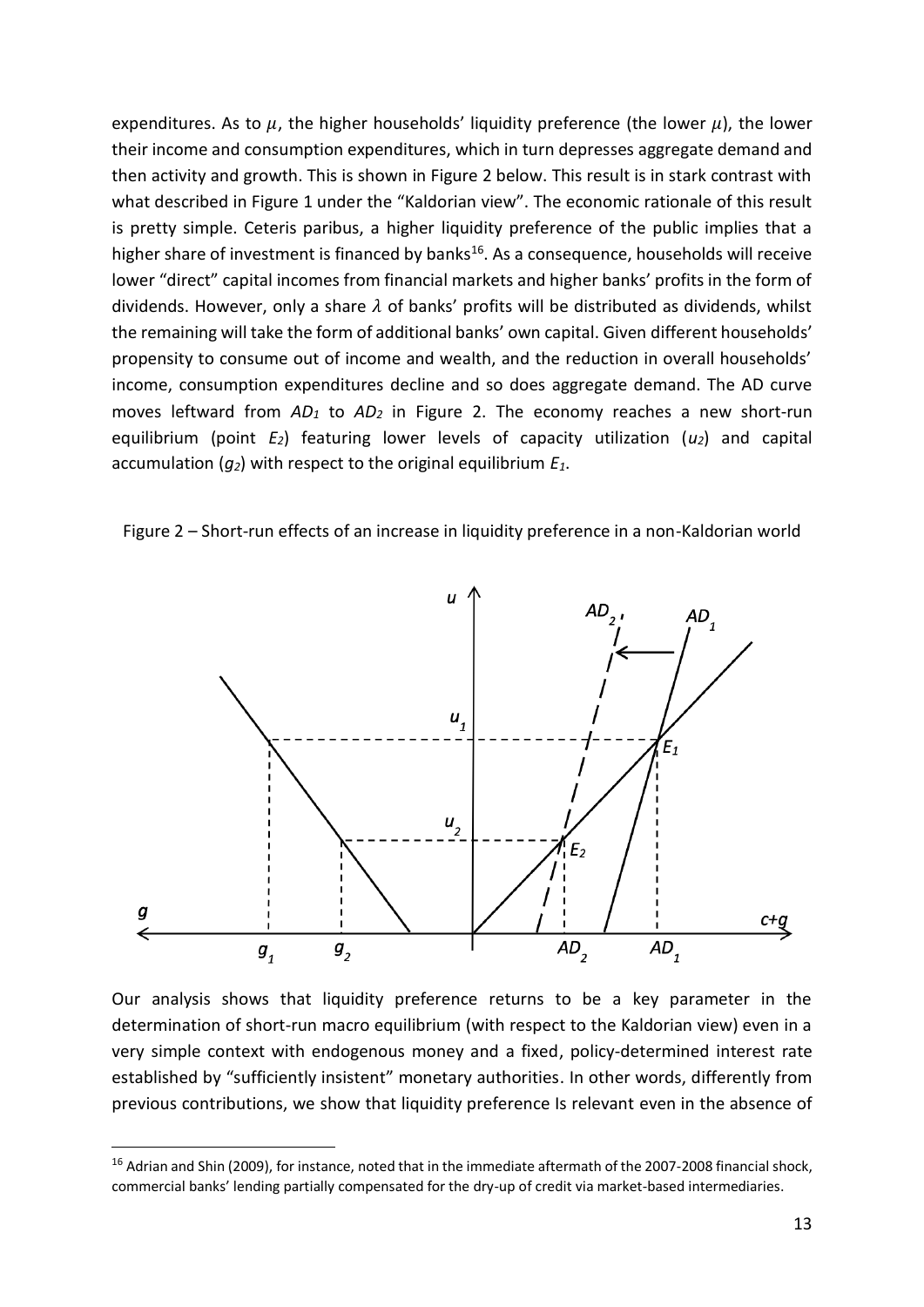expenditures. As to  $\mu$ , the higher households' liquidity preference (the lower  $\mu$ ), the lower their income and consumption expenditures, which in turn depresses aggregate demand and then activity and growth. This is shown in Figure 2 below. This result is in stark contrast with what described in Figure 1 under the "Kaldorian view". The economic rationale of this result is pretty simple. Ceteris paribus, a higher liquidity preference of the public implies that a higher share of investment is financed by banks<sup>16</sup>. As a consequence, households will receive lower "direct" capital incomes from financial markets and higher banks' profits in the form of dividends. However, only a share  $\lambda$  of banks' profits will be distributed as dividends, whilst the remaining will take the form of additional banks' own capital. Given different households' propensity to consume out of income and wealth, and the reduction in overall households' income, consumption expenditures decline and so does aggregate demand. The AD curve moves leftward from *AD<sup>1</sup>* to *AD<sup>2</sup>* in Figure 2. The economy reaches a new short-run equilibrium (point *E2*) featuring lower levels of capacity utilization (*u2*) and capital accumulation (*g2*) with respect to the original equilibrium *E1*.





Our analysis shows that liquidity preference returns to be a key parameter in the determination of short-run macro equilibrium (with respect to the Kaldorian view) even in a very simple context with endogenous money and a fixed, policy-determined interest rate established by "sufficiently insistent" monetary authorities. In other words, differently from previous contributions, we show that liquidity preference Is relevant even in the absence of

<sup>&</sup>lt;sup>16</sup> Adrian and Shin (2009), for instance, noted that in the immediate aftermath of the 2007-2008 financial shock, commercial banks' lending partially compensated for the dry-up of credit via market-based intermediaries.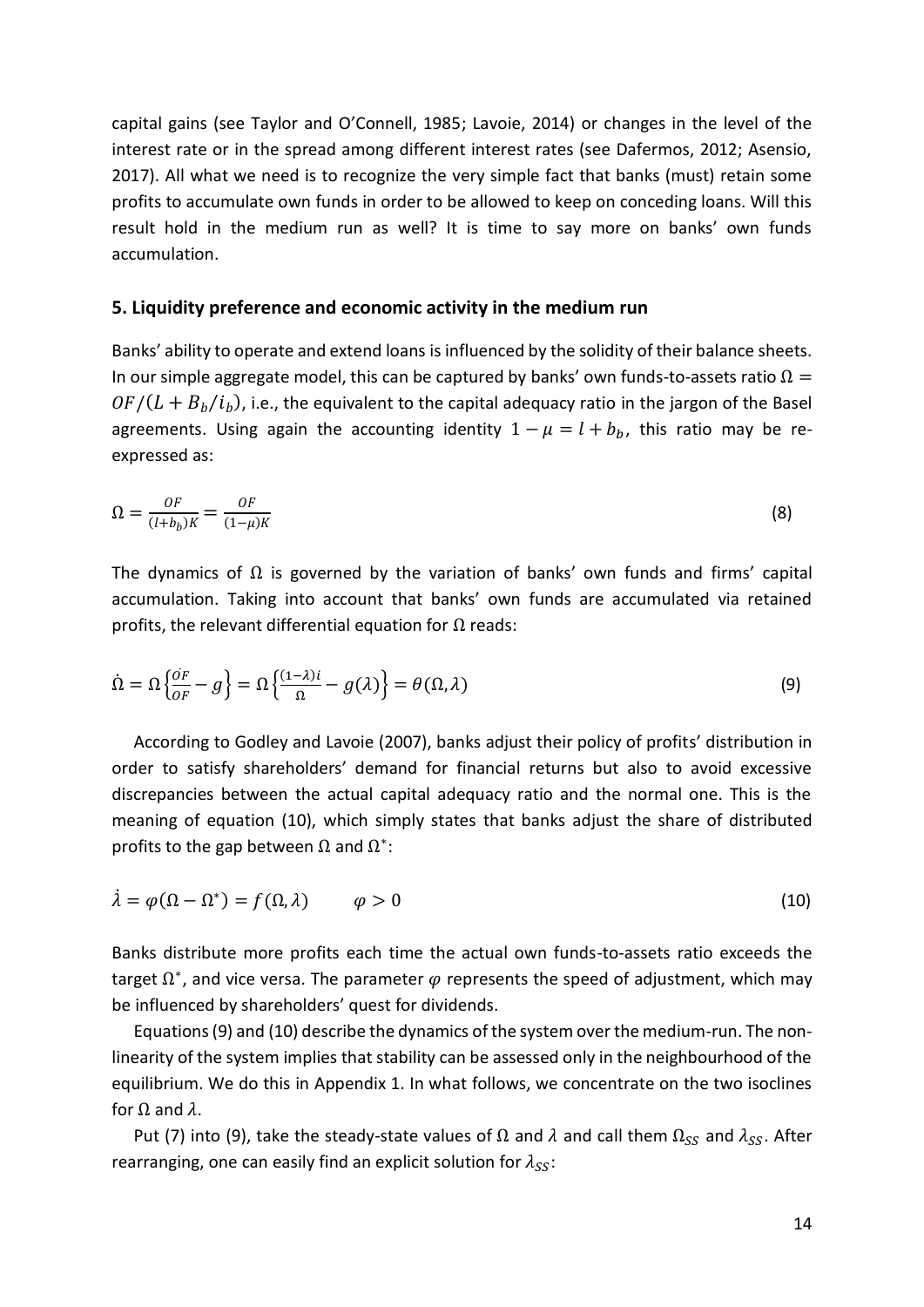capital gains (see Taylor and O'Connell, 1985; Lavoie, 2014) or changes in the level of the interest rate or in the spread among different interest rates (see Dafermos, 2012; Asensio, 2017). All what we need is to recognize the very simple fact that banks (must) retain some profits to accumulate own funds in order to be allowed to keep on conceding loans. Will this result hold in the medium run as well? It is time to say more on banks' own funds accumulation.

### **5. Liquidity preference and economic activity in the medium run**

Banks' ability to operate and extend loans is influenced by the solidity of their balance sheets. In our simple aggregate model, this can be captured by banks' own funds-to-assets ratio  $\Omega =$  $OF/(L + B_b/i_b)$ , i.e., the equivalent to the capital adequacy ratio in the jargon of the Basel agreements. Using again the accounting identity  $1 - \mu = l + b_h$ , this ratio may be reexpressed as:

$$
\Omega = \frac{OF}{(l+b_b)K} = \frac{OF}{(1-\mu)K}
$$
\n(8)

The dynamics of  $\Omega$  is governed by the variation of banks' own funds and firms' capital accumulation. Taking into account that banks' own funds are accumulated via retained profits, the relevant differential equation for  $\Omega$  reads:

$$
\dot{\Omega} = \Omega \left\{ \frac{\partial F}{\partial F} - g \right\} = \Omega \left\{ \frac{(1 - \lambda)i}{\Omega} - g(\lambda) \right\} = \theta(\Omega, \lambda)
$$
\n(9)

According to Godley and Lavoie (2007), banks adjust their policy of profits' distribution in order to satisfy shareholders' demand for financial returns but also to avoid excessive discrepancies between the actual capital adequacy ratio and the normal one. This is the meaning of equation (10), which simply states that banks adjust the share of distributed profits to the gap between  $\Omega$  and  $\Omega^*$ :

$$
\dot{\lambda} = \varphi(\Omega - \Omega^*) = f(\Omega, \lambda) \qquad \varphi > 0 \tag{10}
$$

Banks distribute more profits each time the actual own funds-to-assets ratio exceeds the target  $\Omega^*$ , and vice versa. The parameter  $\varphi$  represents the speed of adjustment, which may be influenced by shareholders' quest for dividends.

Equations (9) and (10) describe the dynamics of the system over the medium-run. The nonlinearity of the system implies that stability can be assessed only in the neighbourhood of the equilibrium. We do this in Appendix 1. In what follows, we concentrate on the two isoclines for  $\Omega$  and  $\lambda$ .

Put (7) into (9), take the steady-state values of  $\Omega$  and  $\lambda$  and call them  $\Omega_{SS}$  and  $\lambda_{SS}$ . After rearranging, one can easily find an explicit solution for  $\lambda_{SS}$ :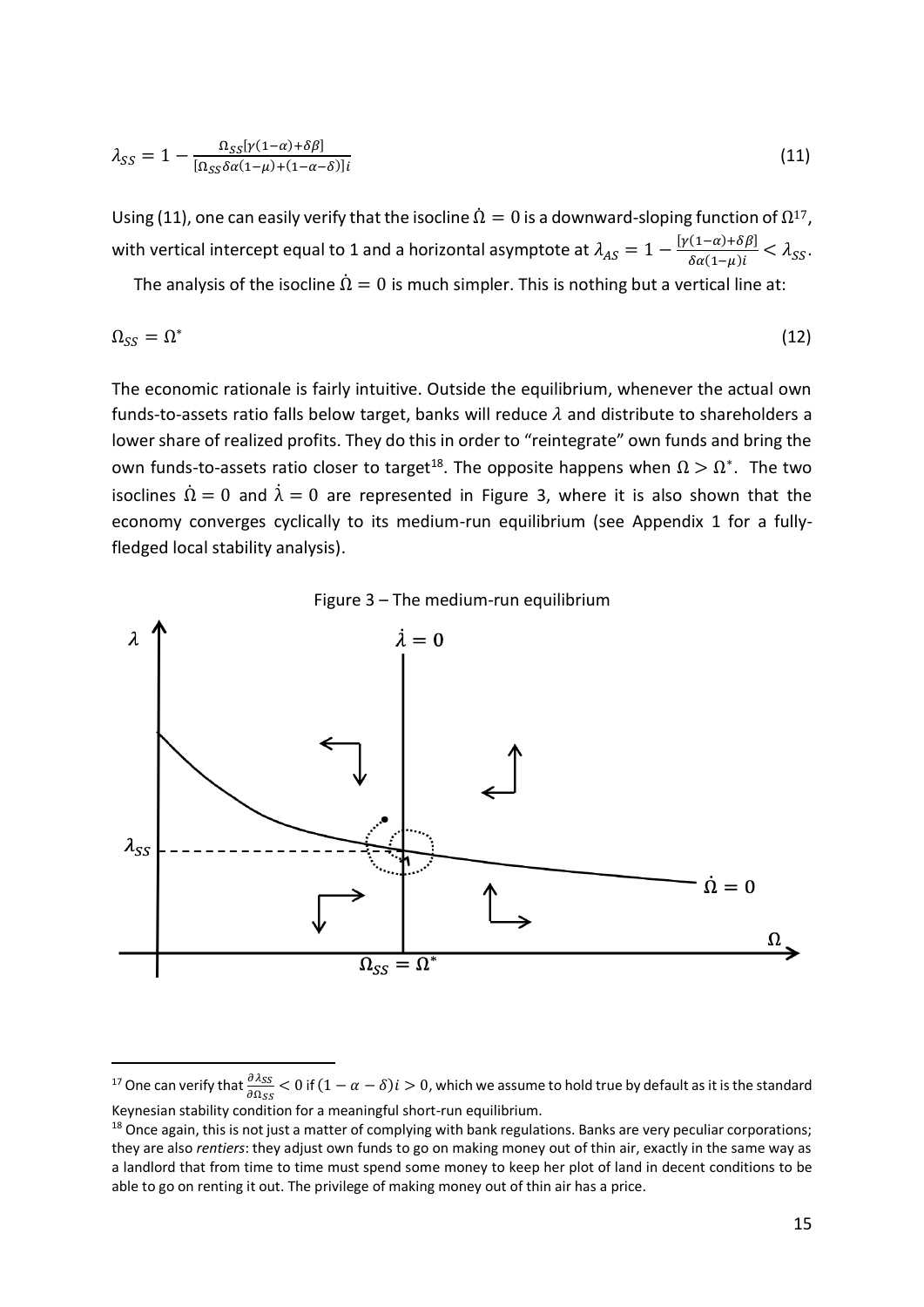$$
\lambda_{SS} = 1 - \frac{\Omega_{SS}[\gamma(1-\alpha) + \delta\beta]}{[\Omega_{SS}\delta\alpha(1-\mu) + (1-\alpha-\delta)]i}
$$
\n(11)

Using (11), one can easily verify that the isocline  $\dot{\Omega} = 0$  is a downward-sloping function of  $\Omega^{17}$ , with vertical intercept equal to 1 and a horizontal asymptote at  $\lambda_{AS} = 1 - \frac{[\gamma(1-\alpha)+\delta\beta]}{8\alpha(1-\mu)i}$  $\frac{(1-\alpha)+\sigma p_1}{\delta \alpha (1-\mu)i} < \lambda_{SS}.$ 

The analysis of the isocline  $\dot{\Omega} = 0$  is much simpler. This is nothing but a vertical line at:

$$
\Omega_{SS} = \Omega^* \tag{12}
$$

The economic rationale is fairly intuitive. Outside the equilibrium, whenever the actual own funds-to-assets ratio falls below target, banks will reduce  $\lambda$  and distribute to shareholders a lower share of realized profits. They do this in order to "reintegrate" own funds and bring the own funds-to-assets ratio closer to target<sup>18</sup>. The opposite happens when  $\Omega > \Omega^*$ . The two isoclines  $\dot{\Omega} = 0$  and  $\dot{\lambda} = 0$  are represented in Figure 3, where it is also shown that the economy converges cyclically to its medium-run equilibrium (see Appendix 1 for a fullyfledged local stability analysis).





<sup>&</sup>lt;sup>17</sup> One can verify that  $\frac{\partial \lambda_{SS}}{\partial \Omega_{SS}}$   $< 0$  if  $(1 - \alpha - \delta)t > 0$ , which we assume to hold true by default as it is the standard Keynesian stability condition for a meaningful short-run equilibrium.

 $18$  Once again, this is not just a matter of complying with bank regulations. Banks are very peculiar corporations; they are also *rentiers*: they adjust own funds to go on making money out of thin air, exactly in the same way as a landlord that from time to time must spend some money to keep her plot of land in decent conditions to be able to go on renting it out. The privilege of making money out of thin air has a price.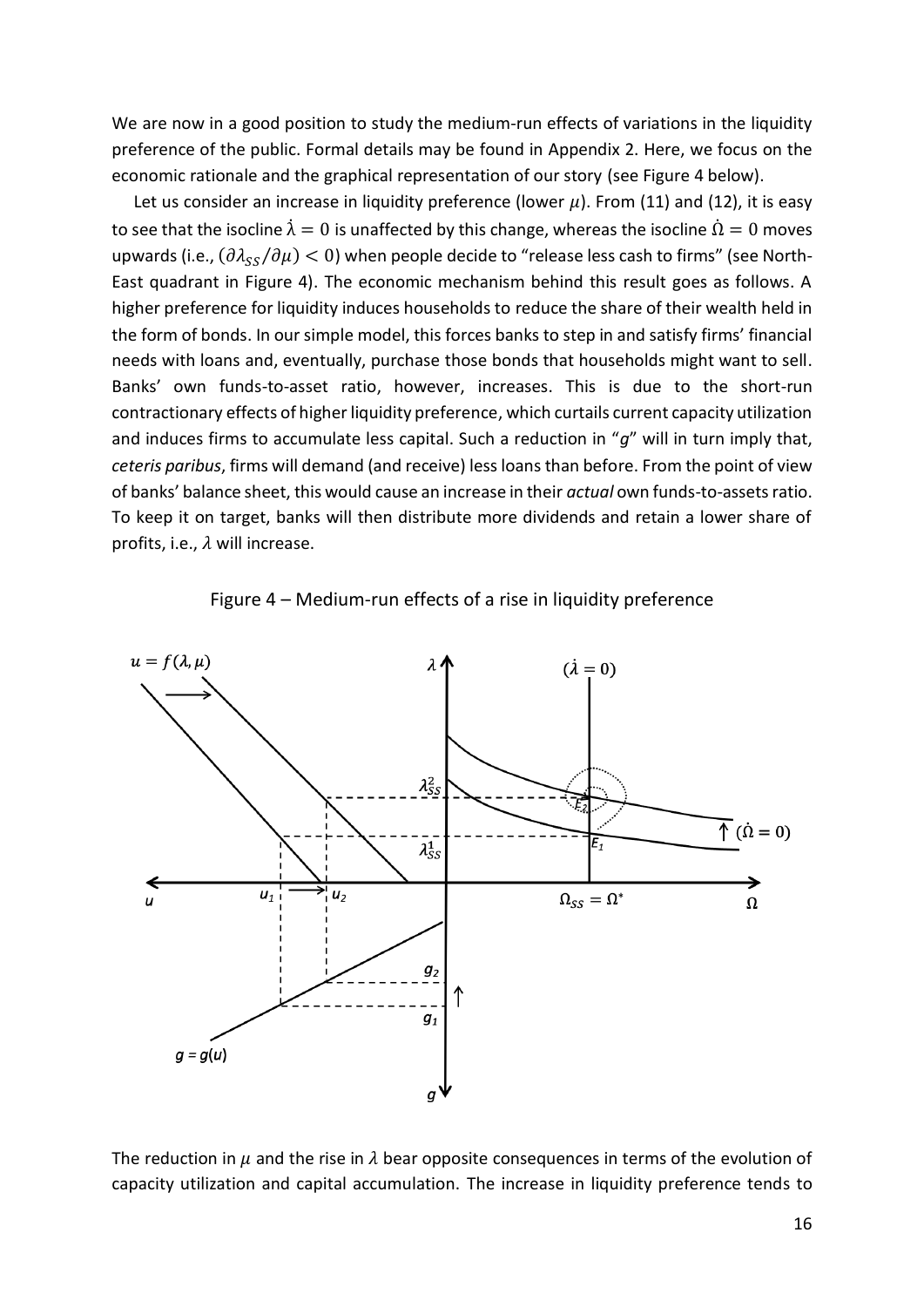We are now in a good position to study the medium-run effects of variations in the liquidity preference of the public. Formal details may be found in Appendix 2. Here, we focus on the economic rationale and the graphical representation of our story (see Figure 4 below).

Let us consider an increase in liquidity preference (lower  $\mu$ ). From (11) and (12), it is easy to see that the isocline  $\dot{\lambda} = 0$  is unaffected by this change, whereas the isocline  $\dot{\Omega} = 0$  moves upwards (i.e.,  $(\partial \lambda_{ss}/\partial \mu)$  < 0) when people decide to "release less cash to firms" (see North-East quadrant in Figure 4). The economic mechanism behind this result goes as follows. A higher preference for liquidity induces households to reduce the share of their wealth held in the form of bonds. In our simple model, this forces banks to step in and satisfy firms' financial needs with loans and, eventually, purchase those bonds that households might want to sell. Banks' own funds-to-asset ratio, however, increases. This is due to the short-run contractionary effects of higher liquidity preference, which curtails current capacity utilization and induces firms to accumulate less capital. Such a reduction in "*g*" will in turn imply that, *ceteris paribus*, firms will demand (and receive) less loans than before. From the point of view of banks' balance sheet, this would cause an increase in their *actual* own funds-to-assetsratio. To keep it on target, banks will then distribute more dividends and retain a lower share of profits, i.e.,  $\lambda$  will increase.



Figure 4 – Medium-run effects of a rise in liquidity preference

The reduction in  $\mu$  and the rise in  $\lambda$  bear opposite consequences in terms of the evolution of capacity utilization and capital accumulation. The increase in liquidity preference tends to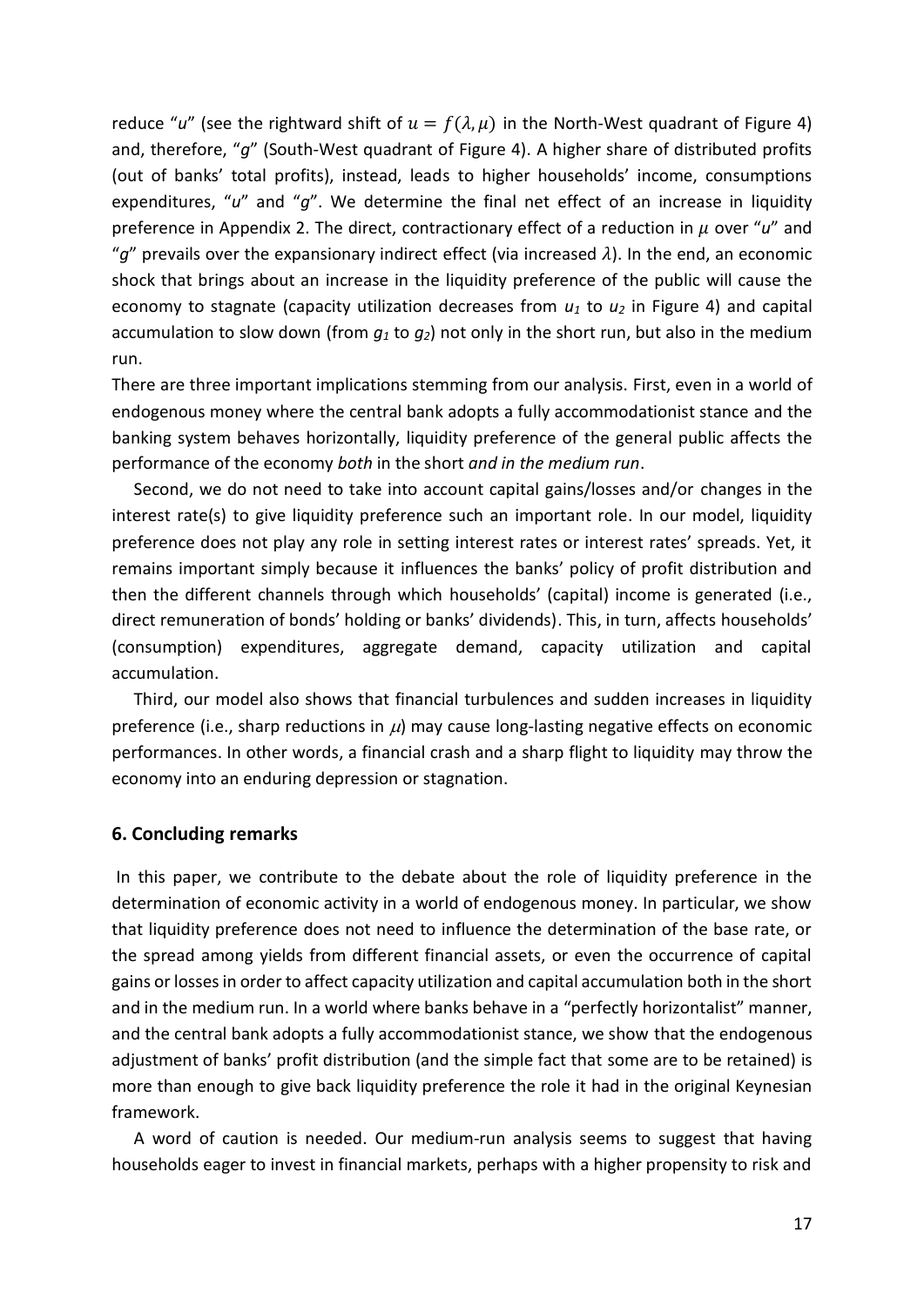reduce "u" (see the rightward shift of  $u = f(\lambda, \mu)$  in the North-West quadrant of Figure 4) and, therefore, "*g*" (South-West quadrant of Figure 4). A higher share of distributed profits (out of banks' total profits), instead, leads to higher households' income, consumptions expenditures, "*u*" and "*g*". We determine the final net effect of an increase in liquidity preference in Appendix 2. The direct, contractionary effect of a reduction in  $\mu$  over "u" and "g" prevails over the expansionary indirect effect (via increased  $\lambda$ ). In the end, an economic shock that brings about an increase in the liquidity preference of the public will cause the economy to stagnate (capacity utilization decreases from *u<sup>1</sup>* to *u<sup>2</sup>* in Figure 4) and capital accumulation to slow down (from *g<sup>1</sup>* to *g2*) not only in the short run, but also in the medium run.

There are three important implications stemming from our analysis. First, even in a world of endogenous money where the central bank adopts a fully accommodationist stance and the banking system behaves horizontally, liquidity preference of the general public affects the performance of the economy *both* in the short *and in the medium run*.

Second, we do not need to take into account capital gains/losses and/or changes in the interest rate(s) to give liquidity preference such an important role. In our model, liquidity preference does not play any role in setting interest rates or interest rates' spreads. Yet, it remains important simply because it influences the banks' policy of profit distribution and then the different channels through which households' (capital) income is generated (i.e., direct remuneration of bonds' holding or banks' dividends). This, in turn, affects households' (consumption) expenditures, aggregate demand, capacity utilization and capital accumulation.

Third, our model also shows that financial turbulences and sudden increases in liquidity preference (i.e., sharp reductions in  $\mu$ ) may cause long-lasting negative effects on economic performances. In other words, a financial crash and a sharp flight to liquidity may throw the economy into an enduring depression or stagnation.

#### **6. Concluding remarks**

In this paper, we contribute to the debate about the role of liquidity preference in the determination of economic activity in a world of endogenous money. In particular, we show that liquidity preference does not need to influence the determination of the base rate, or the spread among yields from different financial assets, or even the occurrence of capital gains or losses in order to affect capacity utilization and capital accumulation both in the short and in the medium run. In a world where banks behave in a "perfectly horizontalist" manner, and the central bank adopts a fully accommodationist stance, we show that the endogenous adjustment of banks' profit distribution (and the simple fact that some are to be retained) is more than enough to give back liquidity preference the role it had in the original Keynesian framework.

A word of caution is needed. Our medium-run analysis seems to suggest that having households eager to invest in financial markets, perhaps with a higher propensity to risk and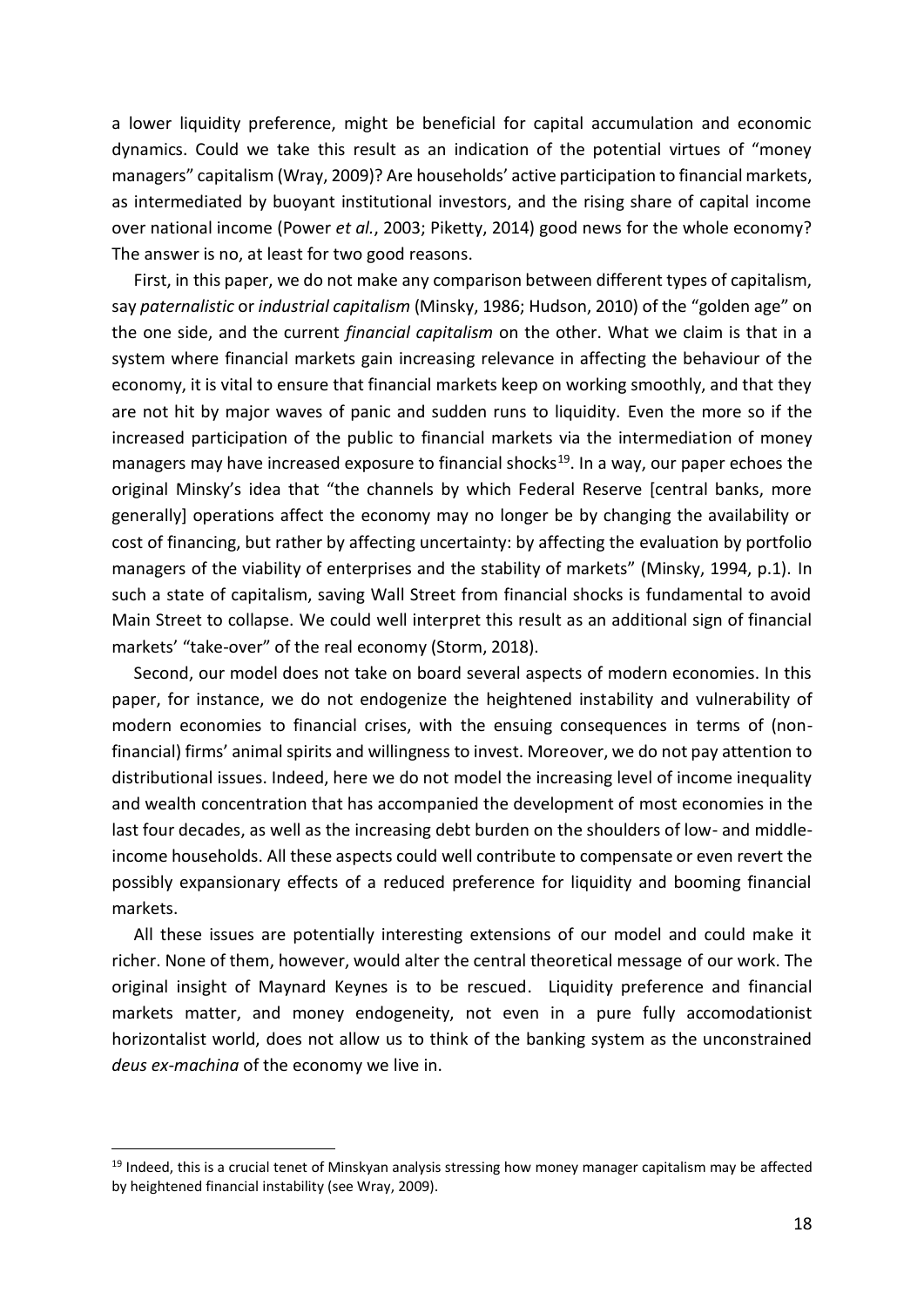a lower liquidity preference, might be beneficial for capital accumulation and economic dynamics. Could we take this result as an indication of the potential virtues of "money managers" capitalism (Wray, 2009)? Are households' active participation to financial markets, as intermediated by buoyant institutional investors, and the rising share of capital income over national income (Power *et al.*, 2003; Piketty, 2014) good news for the whole economy? The answer is no, at least for two good reasons.

First, in this paper, we do not make any comparison between different types of capitalism, say *paternalistic* or *industrial capitalism* (Minsky, 1986; Hudson, 2010) of the "golden age" on the one side, and the current *financial capitalism* on the other. What we claim is that in a system where financial markets gain increasing relevance in affecting the behaviour of the economy, it is vital to ensure that financial markets keep on working smoothly, and that they are not hit by major waves of panic and sudden runs to liquidity. Even the more so if the increased participation of the public to financial markets via the intermediation of money managers may have increased exposure to financial shocks<sup>19</sup>. In a way, our paper echoes the original Minsky's idea that "the channels by which Federal Reserve [central banks, more generally] operations affect the economy may no longer be by changing the availability or cost of financing, but rather by affecting uncertainty: by affecting the evaluation by portfolio managers of the viability of enterprises and the stability of markets" (Minsky, 1994, p.1). In such a state of capitalism, saving Wall Street from financial shocks is fundamental to avoid Main Street to collapse. We could well interpret this result as an additional sign of financial markets' "take-over" of the real economy (Storm, 2018).

Second, our model does not take on board several aspects of modern economies. In this paper, for instance, we do not endogenize the heightened instability and vulnerability of modern economies to financial crises, with the ensuing consequences in terms of (nonfinancial) firms' animal spirits and willingness to invest. Moreover, we do not pay attention to distributional issues. Indeed, here we do not model the increasing level of income inequality and wealth concentration that has accompanied the development of most economies in the last four decades, as well as the increasing debt burden on the shoulders of low- and middleincome households. All these aspects could well contribute to compensate or even revert the possibly expansionary effects of a reduced preference for liquidity and booming financial markets.

All these issues are potentially interesting extensions of our model and could make it richer. None of them, however, would alter the central theoretical message of our work. The original insight of Maynard Keynes is to be rescued. Liquidity preference and financial markets matter, and money endogeneity, not even in a pure fully accomodationist horizontalist world, does not allow us to think of the banking system as the unconstrained *deus ex-machina* of the economy we live in.

 $19$  Indeed, this is a crucial tenet of Minskyan analysis stressing how money manager capitalism may be affected by heightened financial instability (see Wray, 2009).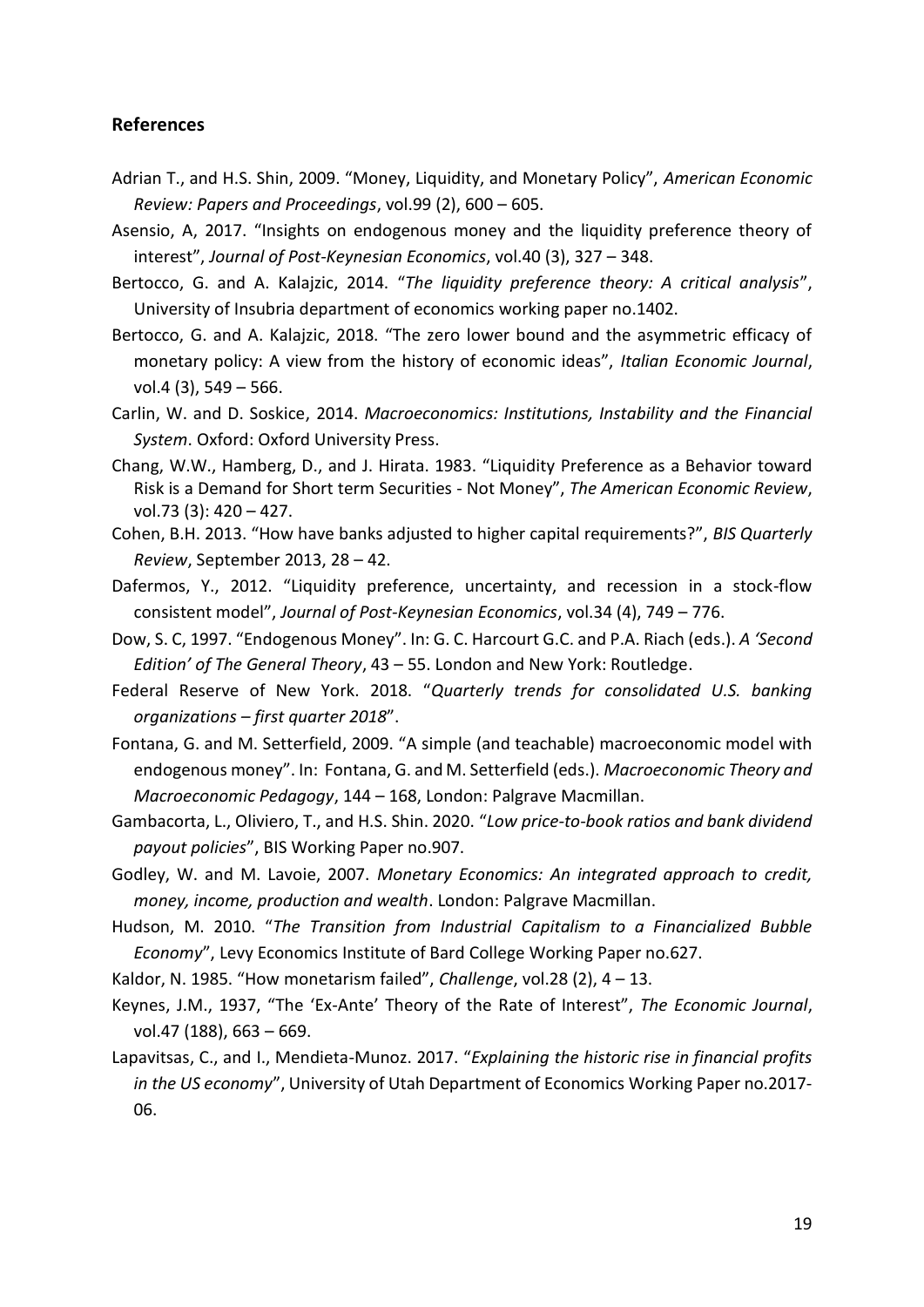# **References**

- Adrian T., and H.S. Shin, 2009. "Money, Liquidity, and Monetary Policy", *American Economic Review: Papers and Proceedings*, vol.99 (2), 600 – 605.
- Asensio, A, 2017. "Insights on endogenous money and the liquidity preference theory of interest", *Journal of Post-Keynesian Economics*, vol.40 (3), 327 – 348.
- Bertocco, G. and A. Kalajzic, 2014. "*The liquidity preference theory: A critical analysis*", University of Insubria department of economics working paper no.1402.
- Bertocco, G. and A. Kalajzic, 2018. "The zero lower bound and the asymmetric efficacy of monetary policy: A view from the history of economic ideas", *Italian Economic Journal*, vol.4 (3), 549 – 566.
- Carlin, W. and D. Soskice, 2014. *Macroeconomics: Institutions, Instability and the Financial System*. Oxford: Oxford University Press.
- Chang, W.W., Hamberg, D., and J. Hirata. 1983. "Liquidity Preference as a Behavior toward Risk is a Demand for Short term Securities - Not Money", *The American Economic Review*, vol.73 (3): 420 – 427.
- Cohen, B.H. 2013. "How have banks adjusted to higher capital requirements?", *BIS Quarterly Review*, September 2013, 28 – 42.
- Dafermos, Y., 2012. "Liquidity preference, uncertainty, and recession in a stock-flow consistent model", *Journal of Post-Keynesian Economics*, vol.34 (4), 749 – 776.
- Dow, S. C, 1997. "Endogenous Money". In: G. C. Harcourt G.C. and P.A. Riach (eds.). *A 'Second Edition' of The General Theory*, 43 – 55. London and New York: Routledge.
- Federal Reserve of New York. 2018. "*Quarterly trends for consolidated U.S. banking organizations – first quarter 2018*".
- Fontana, G. and M. Setterfield, 2009. "A simple (and teachable) macroeconomic model with endogenous money". In: Fontana, G. and M. Setterfield (eds.). *Macroeconomic Theory and Macroeconomic Pedagogy*, 144 – 168, London: Palgrave Macmillan.
- Gambacorta, L., Oliviero, T., and H.S. Shin. 2020. "*Low price-to-book ratios and bank dividend payout policies*", BIS Working Paper no.907.
- Godley, W. and M. Lavoie, 2007. *Monetary Economics: An integrated approach to credit, money, income, production and wealth*. London: Palgrave Macmillan.
- Hudson, M. 2010. "*The Transition from Industrial Capitalism to a Financialized Bubble Economy*", Levy Economics Institute of Bard College Working Paper no.627.
- Kaldor, N. 1985. "How monetarism failed", *Challenge*, vol.28 (2), 4 13.
- Keynes, J.M., 1937, "The 'Ex-Ante' Theory of the Rate of Interest", *The Economic Journal*, vol.47 (188), 663 – 669.
- Lapavitsas, C., and I., Mendieta-Munoz. 2017. "*Explaining the historic rise in financial profits in the US economy*", University of Utah Department of Economics Working Paper no.2017- 06.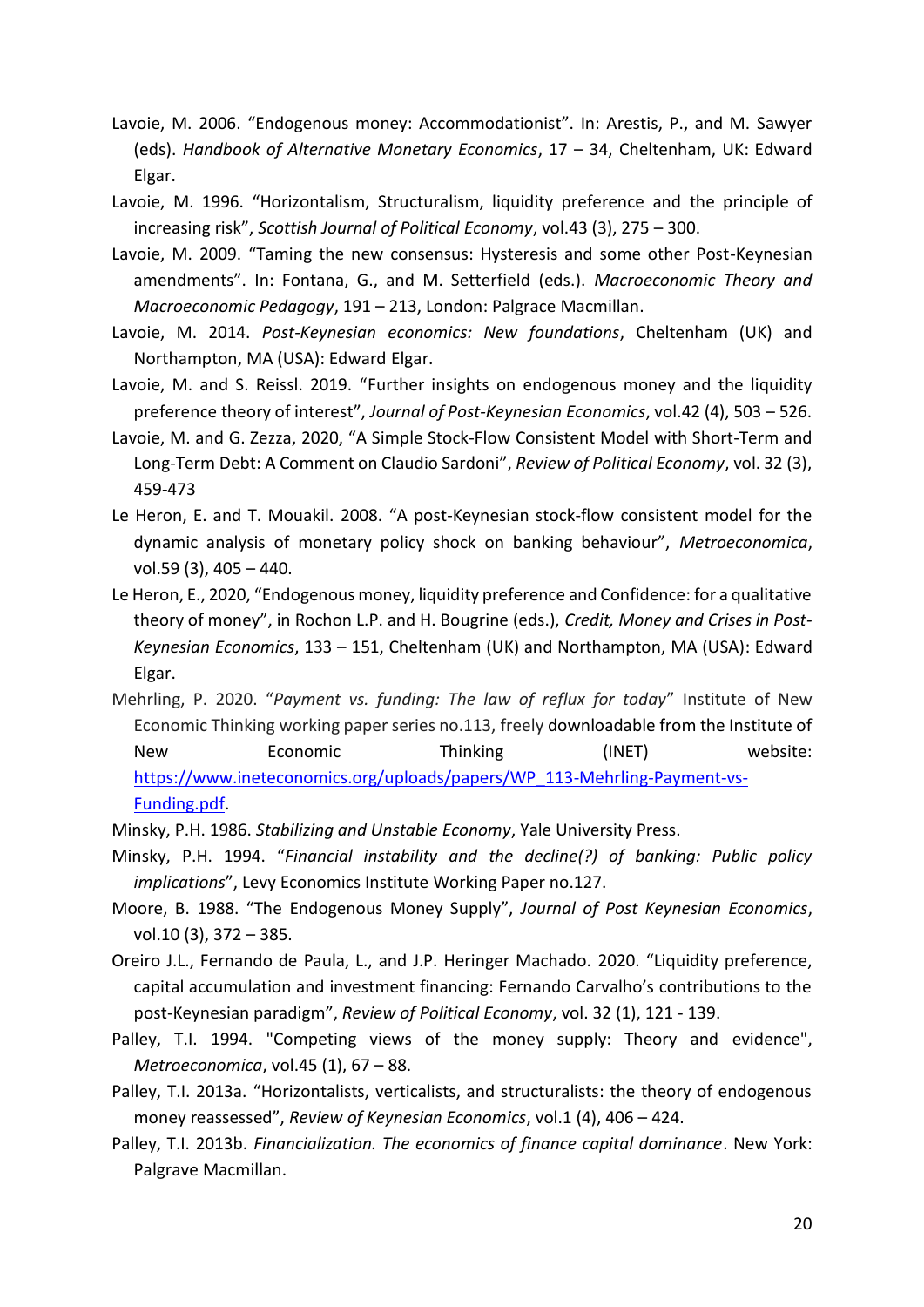- Lavoie, M. 2006. "Endogenous money: Accommodationist". In: Arestis, P., and M. Sawyer (eds). *Handbook of Alternative Monetary Economics*, 17 – 34, Cheltenham, UK: Edward Elgar.
- Lavoie, M. 1996. "Horizontalism, Structuralism, liquidity preference and the principle of increasing risk", *Scottish Journal of Political Economy*, vol.43 (3), 275 – 300.
- Lavoie, M. 2009. "Taming the new consensus: Hysteresis and some other Post-Keynesian amendments". In: Fontana, G., and M. Setterfield (eds.). *Macroeconomic Theory and Macroeconomic Pedagogy*, 191 – 213, London: Palgrace Macmillan.
- Lavoie, M. 2014. *Post-Keynesian economics: New foundations*, Cheltenham (UK) and Northampton, MA (USA): Edward Elgar.
- Lavoie, M. and S. Reissl. 2019. "Further insights on endogenous money and the liquidity preference theory of interest", *Journal of Post-Keynesian Economics*, vol.42 (4), 503 – 526.
- Lavoie, M. and G. Zezza, 2020, "A Simple Stock-Flow Consistent Model with Short-Term and Long-Term Debt: A Comment on Claudio Sardoni", *Review of Political Economy*, vol. 32 (3), 459-473
- Le Heron, E. and T. Mouakil. 2008. "A post-Keynesian stock-flow consistent model for the dynamic analysis of monetary policy shock on banking behaviour", *Metroeconomica*, vol.59 (3), 405 – 440.
- Le Heron, E., 2020, "Endogenous money, liquidity preference and Confidence: for a qualitative theory of money", in Rochon L.P. and H. Bougrine (eds.), *Credit, Money and Crises in Post-Keynesian Economics*, 133 – 151, Cheltenham (UK) and Northampton, MA (USA): Edward Elgar.
- Mehrling, P. 2020. "*Payment vs. funding: The law of reflux for today*" Institute of New Economic Thinking working paper series no.113, freely downloadable from the Institute of New **Economic** Thinking (INET) website: https://www.ineteconomics.org/uploads/papers/WP\_113-Mehrling-Payment-vs-Funding.pdf.
- Minsky, P.H. 1986. *Stabilizing and Unstable Economy*, Yale University Press.
- Minsky, P.H. 1994. "*Financial instability and the decline(?) of banking: Public policy implications*", Levy Economics Institute Working Paper no.127.
- Moore, B. 1988. "The Endogenous Money Supply", *Journal of Post Keynesian Economics*, vol.10 (3), 372 – 385.
- Oreiro J.L., Fernando de Paula, L., and J.P. Heringer Machado. 2020. "Liquidity preference, capital accumulation and investment financing: Fernando Carvalho's contributions to the post-Keynesian paradigm", *Review of Political Economy*, vol. 32 (1), 121 - 139.
- Palley, T.I. 1994. "Competing views of the money supply: Theory and evidence", *Metroeconomica*, vol.45 (1), 67 – 88.
- Palley, T.I. 2013a. "Horizontalists, verticalists, and structuralists: the theory of endogenous money reassessed", *Review of Keynesian Economics*, vol.1 (4), 406 – 424.
- Palley, T.I. 2013b. *Financialization. The economics of finance capital dominance*. New York: Palgrave Macmillan.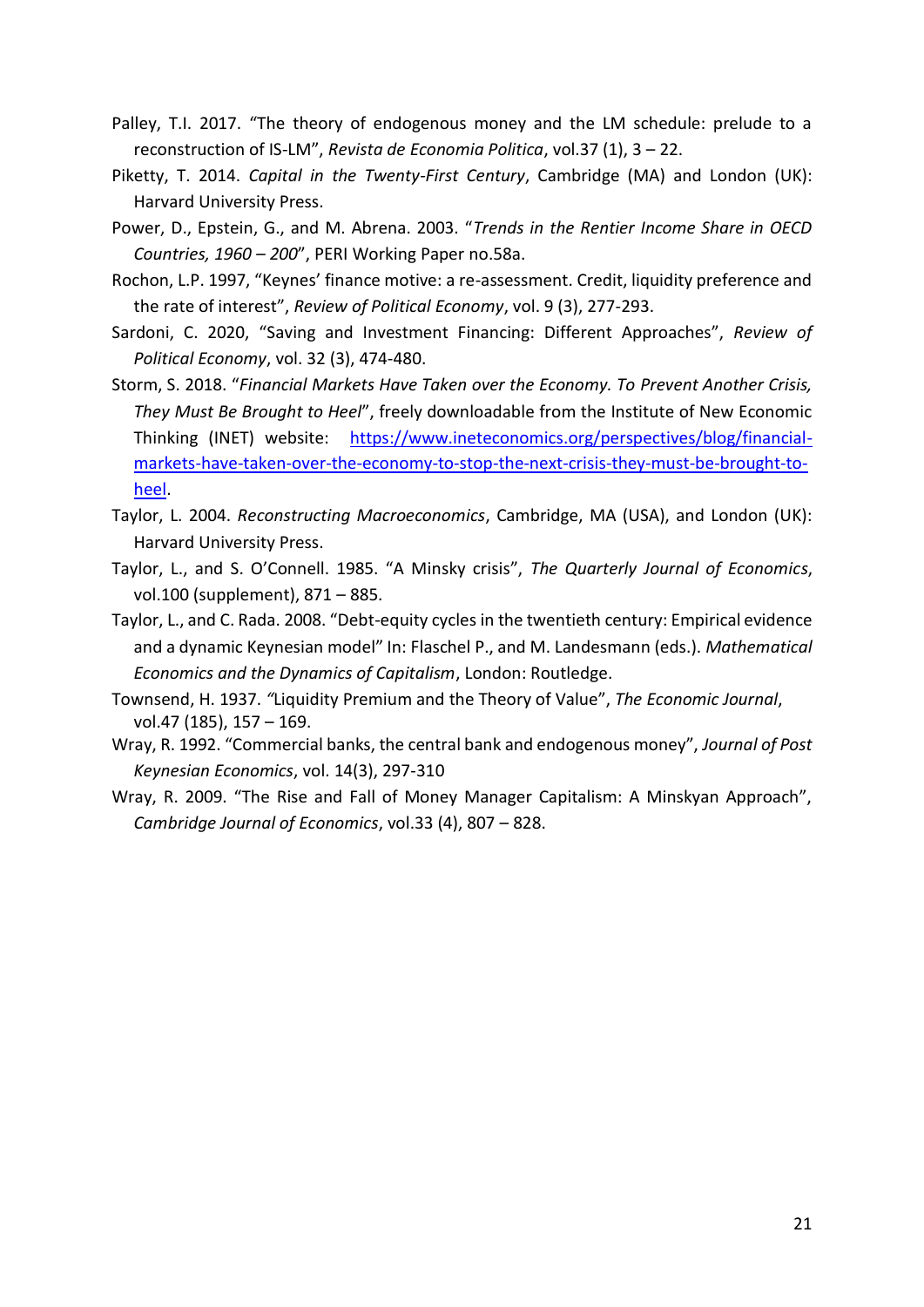- Palley, T.I. 2017. "The theory of endogenous money and the LM schedule: prelude to a reconstruction of IS-LM", *Revista de Economia Politica*, vol.37 (1), 3 – 22.
- Piketty, T. 2014. *Capital in the Twenty-First Century*, Cambridge (MA) and London (UK): Harvard University Press.
- Power, D., Epstein, G., and M. Abrena. 2003. "*Trends in the Rentier Income Share in OECD Countries, 1960 – 200*", PERI Working Paper no.58a.
- Rochon, L.P. 1997, "Keynes' finance motive: a re-assessment. Credit, liquidity preference and the rate of interest", *Review of Political Economy*, vol. 9 (3), 277-293.
- Sardoni, C. 2020, "Saving and Investment Financing: Different Approaches", *Review of Political Economy*, vol. 32 (3), 474-480.
- Storm, S. 2018. "*Financial Markets Have Taken over the Economy. To Prevent Another Crisis, They Must Be Brought to Heel*", freely downloadable from the Institute of New Economic Thinking (INET) website: [https://www.ineteconomics.org/perspectives/blog/financial](about:blank)[markets-have-taken-over-the-economy-to-stop-the-next-crisis-they-must-be-brought-to](about:blank)[heel.](about:blank)
- Taylor, L. 2004. *Reconstructing Macroeconomics*, Cambridge, MA (USA), and London (UK): Harvard University Press.
- Taylor, L., and S. O'Connell. 1985. "A Minsky crisis", *The Quarterly Journal of Economics*, vol.100 (supplement), 871 – 885.
- Taylor, L., and C. Rada. 2008. "Debt-equity cycles in the twentieth century: Empirical evidence and a dynamic Keynesian model" In: Flaschel P., and M. Landesmann (eds.). *Mathematical Economics and the Dynamics of Capitalism*, London: Routledge.
- Townsend, H. 1937. *"*Liquidity Premium and the Theory of Value", *The Economic Journal*, vol.47 (185), 157 – 169.
- Wray, R. 1992. "Commercial banks, the central bank and endogenous money", *Journal of Post Keynesian Economics*, vol. 14(3), 297-310
- Wray, R. 2009. "The Rise and Fall of Money Manager Capitalism: A Minskyan Approach", *Cambridge Journal of Economics*, vol.33 (4), 807 – 828.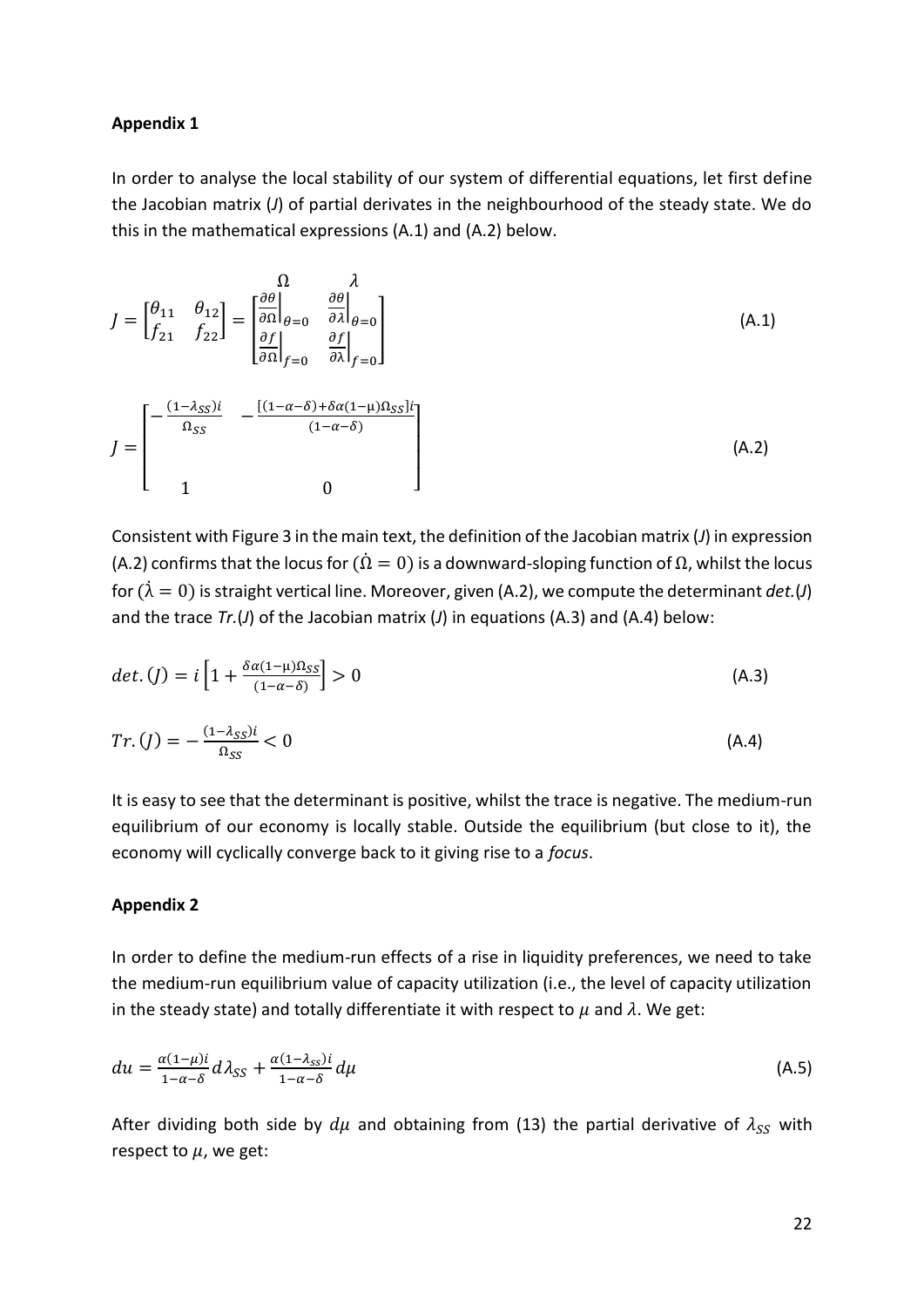## **Appendix 1**

In order to analyse the local stability of our system of differential equations, let first define the Jacobian matrix (*J*) of partial derivates in the neighbourhood of the steady state. We do this in the mathematical expressions (A.1) and (A.2) below.

$$
J = \begin{bmatrix} \theta_{11} & \theta_{12} \\ f_{21} & f_{22} \end{bmatrix} = \begin{bmatrix} \frac{\partial \theta}{\partial \Omega} \Big|_{\theta=0} & \frac{\partial \theta}{\partial \lambda} \Big|_{\theta=0} \\ \frac{\partial f}{\partial \Omega} \Big|_{f=0} & \frac{\partial f}{\partial \lambda} \Big|_{f=0} \end{bmatrix}
$$
(A.1)  

$$
J = \begin{bmatrix} -\frac{(1-\lambda_{SS})i}{\Omega_{SS}} & -\frac{[(1-\alpha-\delta)+\delta\alpha(1-\mu)\Omega_{SS}]i}{(1-\alpha-\delta)} \\ 1 & 0 \end{bmatrix}
$$
(A.2)

Consistent with Figure 3 in the main text, the definition of the Jacobian matrix (*J*) in expression (A.2) confirms that the locus for ( $\dot{\Omega} = 0$ ) is a downward-sloping function of  $\Omega$ , whilst the locus for  $(\lambda = 0)$  is straight vertical line. Moreover, given (A.2), we compute the determinant *det.*(*J*) and the trace *Tr.*(*J*) of the Jacobian matrix (*J*) in equations (A.3) and (A.4) below:

$$
det. (J) = i \left[ 1 + \frac{\delta \alpha (1 - \mu) \Omega_{SS}}{(1 - \alpha - \delta)} \right] > 0
$$
\n(A.3)

$$
Tr.(J) = -\frac{(1-\lambda_{SS})i}{\Omega_{SS}} < 0 \tag{A.4}
$$

It is easy to see that the determinant is positive, whilst the trace is negative. The medium-run equilibrium of our economy is locally stable. Outside the equilibrium (but close to it), the economy will cyclically converge back to it giving rise to a *focus*.

#### **Appendix 2**

In order to define the medium-run effects of a rise in liquidity preferences, we need to take the medium-run equilibrium value of capacity utilization (i.e., the level of capacity utilization in the steady state) and totally differentiate it with respect to  $\mu$  and  $\lambda$ . We get:

$$
du = \frac{\alpha(1-\mu)i}{1-\alpha-\delta} d\lambda_{SS} + \frac{\alpha(1-\lambda_{SS})i}{1-\alpha-\delta} d\mu
$$
\n(A.5)

After dividing both side by  $d\mu$  and obtaining from (13) the partial derivative of  $\lambda_{SS}$  with respect to  $\mu$ , we get: